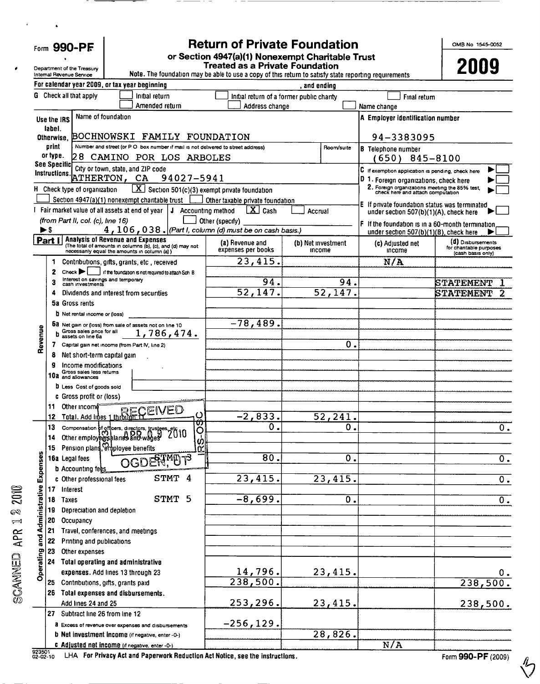|  | Form 990-PF |
|--|-------------|
|--|-------------|

# Return of Private Foundation or Section 4947(a)(1) Nonexempt Charitable Trust

OMB No 1545-0052

|                | Department of the Treasury<br>Internal Revenue Service                                    |                                   |                                                                                                      | <b>Treated as a Private Foundation</b><br>Note. The foundation may be able to use a copy of this return to satisfy state reporting requirements |                    |                       |                                                                                             | 2009                                        |
|----------------|-------------------------------------------------------------------------------------------|-----------------------------------|------------------------------------------------------------------------------------------------------|-------------------------------------------------------------------------------------------------------------------------------------------------|--------------------|-----------------------|---------------------------------------------------------------------------------------------|---------------------------------------------|
|                | For calendar year 2009, or tax year beginning                                             |                                   |                                                                                                      |                                                                                                                                                 | and ending         |                       |                                                                                             |                                             |
|                | <b>G</b> Check all that apply                                                             |                                   | Initial return                                                                                       | Initial return of a former public charity                                                                                                       |                    |                       | Final return                                                                                |                                             |
|                |                                                                                           |                                   | Amended return                                                                                       | Address change                                                                                                                                  |                    |                       | Name change                                                                                 |                                             |
|                | Name of foundation<br>Use the IRS                                                         |                                   |                                                                                                      |                                                                                                                                                 |                    |                       | A Employer identification number                                                            |                                             |
|                | label.                                                                                    |                                   |                                                                                                      |                                                                                                                                                 |                    |                       |                                                                                             |                                             |
|                | Otherwise.                                                                                |                                   | BOCHNOWSKI FAMILY FOUNDATION                                                                         |                                                                                                                                                 |                    |                       | 94-3383095                                                                                  |                                             |
|                | print<br>or type.                                                                         |                                   | 28 CAMINO POR LOS ARBOLES                                                                            | Number and street (or P O box number if mail is not delivered to street address)                                                                |                    | Room/suite            | <b>B</b> Telephone number                                                                   |                                             |
|                | <b>See Specific</b>                                                                       | City or town, state, and ZIP code |                                                                                                      |                                                                                                                                                 |                    |                       | (650)<br>845-8100                                                                           |                                             |
|                | Instructions.<br>ATHERTON, CA                                                             |                                   | 94027-5941                                                                                           |                                                                                                                                                 |                    |                       | C if exemption application is pending, check here<br>D 1. Foreign organizations, check here |                                             |
|                | H Check type of organization                                                              |                                   |                                                                                                      | $\boxed{\mathbf{X}}$ Section 501(c)(3) exempt private foundation                                                                                |                    |                       | 2. Foreign organizations meeting the 85% test,<br>check here and attach computation         |                                             |
|                | Section 4947(a)(1) nonexempt charitable trust                                             |                                   |                                                                                                      | Other taxable private foundation                                                                                                                |                    |                       |                                                                                             |                                             |
|                | I Fair market value of all assets at end of year                                          |                                   |                                                                                                      | $\mathbf{X}$ Cash<br>J Accounting method                                                                                                        | Accrual            |                       | E If private foundation status was terminated<br>under section 507(b)(1)(A), check here     |                                             |
|                | (from Part II, col. (c), line 16)                                                         |                                   |                                                                                                      | Other (specify)                                                                                                                                 |                    |                       | If the foundation is in a 60-month termination                                              |                                             |
|                | ►\$                                                                                       |                                   |                                                                                                      | $4$ , $106$ , $038$ . (Part I, column (d) must be on cash basis.)                                                                               |                    |                       | under section 507(b)(1)(B), check here                                                      |                                             |
|                | <b>Analysis of Revenue and Expenses</b><br>Part I                                         |                                   | (The total of amounts in columns (b), (c), and (d) may not                                           | (a) Revenue and                                                                                                                                 | (b) Net investment |                       | (c) Adjusted net                                                                            | (d) Disbursements<br>for chantable purposes |
|                | necessanly equal the amounts in column (a) )                                              |                                   |                                                                                                      | expenses per books                                                                                                                              | income             |                       | Income                                                                                      | (cash basis only)                           |
|                | Contributions, gifts, grants, etc., received<br>1                                         |                                   |                                                                                                      | 23,415.                                                                                                                                         |                    |                       | N/A                                                                                         |                                             |
|                | Check $\blacktriangleright$<br>2<br>Interest on savings and temporary<br>cash investments |                                   | if the foundation is not required to attach Sch. B                                                   | 94.                                                                                                                                             |                    |                       |                                                                                             |                                             |
|                | 3<br>Dividends and interest from securities<br>4                                          |                                   |                                                                                                      | 52,147.                                                                                                                                         |                    | 94.<br>52,147.        |                                                                                             | STATEMENT<br><b>STATEMENT</b>               |
|                | 5a Gross rents                                                                            |                                   |                                                                                                      |                                                                                                                                                 |                    |                       |                                                                                             |                                             |
|                | <b>D</b> Net rental income or (loss)                                                      |                                   |                                                                                                      |                                                                                                                                                 |                    |                       |                                                                                             |                                             |
|                | Da Net gain or (loss) from sale of assets not on line 10                                  |                                   |                                                                                                      | $-78,489.$                                                                                                                                      |                    |                       |                                                                                             |                                             |
|                | Gross sales price for all<br>assets on line 6a                                            |                                   | 1,786,474.                                                                                           |                                                                                                                                                 |                    |                       |                                                                                             |                                             |
| Revenue        | Capital gain net income (from Part IV, line 2)                                            |                                   |                                                                                                      |                                                                                                                                                 |                    | $\overline{0}$ .      |                                                                                             |                                             |
|                | 8<br>Net short-term capital gain                                                          |                                   |                                                                                                      |                                                                                                                                                 |                    |                       |                                                                                             |                                             |
|                | g<br>Income modifications<br>Gross sales less returns                                     |                                   |                                                                                                      |                                                                                                                                                 |                    |                       |                                                                                             |                                             |
|                | 10a and allowances                                                                        |                                   |                                                                                                      |                                                                                                                                                 |                    |                       |                                                                                             |                                             |
|                | <b>D</b> Less Cost of goods sold                                                          |                                   |                                                                                                      |                                                                                                                                                 |                    |                       |                                                                                             |                                             |
|                | c Gross profit or (loss)<br>Other income<br>11                                            |                                   |                                                                                                      |                                                                                                                                                 |                    |                       |                                                                                             |                                             |
|                | 12                                                                                        |                                   | Total. Add lines 1through H<br>ပ                                                                     | $-2,833.$                                                                                                                                       |                    | 52,241.               |                                                                                             |                                             |
|                | 13                                                                                        |                                   | ₩                                                                                                    | $\overline{0}$ .                                                                                                                                |                    | 0.                    |                                                                                             | 0.                                          |
|                | 14                                                                                        |                                   | Compensation of officers, directors, trustees, etc 10<br>Other employees alaries and wages 2010<br>O |                                                                                                                                                 |                    |                       |                                                                                             |                                             |
|                | Pension plans, employee benefits<br>15                                                    |                                   |                                                                                                      | O)<br>n 1                                                                                                                                       |                    |                       |                                                                                             |                                             |
|                | 16a Legal fees                                                                            |                                   | OGDERTMET?                                                                                           | $\overline{80}$ .                                                                                                                               |                    | 0.                    |                                                                                             | $\overline{0}$ .                            |
| Expenses       | <b>b</b> Accounting fees                                                                  |                                   |                                                                                                      |                                                                                                                                                 |                    |                       |                                                                                             |                                             |
|                | c Other professional fees                                                                 |                                   | STMT 4                                                                                               | 23,415.                                                                                                                                         |                    | $2\overline{3,415}$ . |                                                                                             | $\overline{\mathfrak{o}}$ .                 |
| Administrative | Interest<br>17                                                                            |                                   | STMT 5                                                                                               | $-8,699.$                                                                                                                                       |                    |                       |                                                                                             |                                             |
|                | 18<br><b>Taxes</b><br>19<br>Depreciation and depletion                                    |                                   |                                                                                                      |                                                                                                                                                 |                    | $\overline{0}$ .      |                                                                                             | $\overline{\mathbf{0}}$ .                   |
|                | 20<br>Occupancy                                                                           |                                   |                                                                                                      |                                                                                                                                                 |                    |                       |                                                                                             |                                             |
|                | 21<br>Travel, conferences, and meetings                                                   |                                   |                                                                                                      |                                                                                                                                                 |                    |                       |                                                                                             |                                             |
| and .          | 22<br>Printing and publications                                                           |                                   |                                                                                                      |                                                                                                                                                 |                    |                       |                                                                                             |                                             |
|                | 23<br>Other expenses                                                                      |                                   |                                                                                                      |                                                                                                                                                 |                    |                       |                                                                                             |                                             |
| Operating      | 24<br><b>Total operating and administrative</b>                                           |                                   |                                                                                                      |                                                                                                                                                 |                    |                       |                                                                                             |                                             |
|                | expenses. Add lines 13 through 23                                                         |                                   |                                                                                                      | $\frac{14,796}{238,500}$ .                                                                                                                      |                    | 23,415.               |                                                                                             | $0$ .                                       |
|                | 25 Contributions, gifts, grants paid                                                      |                                   |                                                                                                      |                                                                                                                                                 |                    |                       |                                                                                             | 238,500.                                    |
|                | 26 Total expenses and disbursements.                                                      |                                   |                                                                                                      |                                                                                                                                                 |                    |                       |                                                                                             |                                             |
|                | Add lines 24 and 25<br>Subtract line 26 from line 12                                      |                                   |                                                                                                      | 253,296.                                                                                                                                        |                    | 23,415.               |                                                                                             | 238,500.                                    |
|                | 27                                                                                        |                                   | a Excess of revenue over expenses and disbursements                                                  | $-256, 129.$                                                                                                                                    |                    |                       |                                                                                             |                                             |
|                | <b>b</b> Net investment income (if negative, enter -0-)                                   |                                   |                                                                                                      |                                                                                                                                                 |                    | 28,826.               |                                                                                             |                                             |
|                | c Adjusted net income (if negative, enter -O-)                                            |                                   |                                                                                                      |                                                                                                                                                 |                    |                       | N/A                                                                                         |                                             |
|                |                                                                                           |                                   |                                                                                                      |                                                                                                                                                 |                    |                       |                                                                                             |                                             |

 $\equiv$ 

 $\equiv$ 

 $\mathbb{S}$ 

 $\tilde{c}^2$ - $\tilde{c}^2$ -io LHA For Privacy Act and Paperwork Reduction Act Notice, see the instructions . Form 990-PF (2009) http://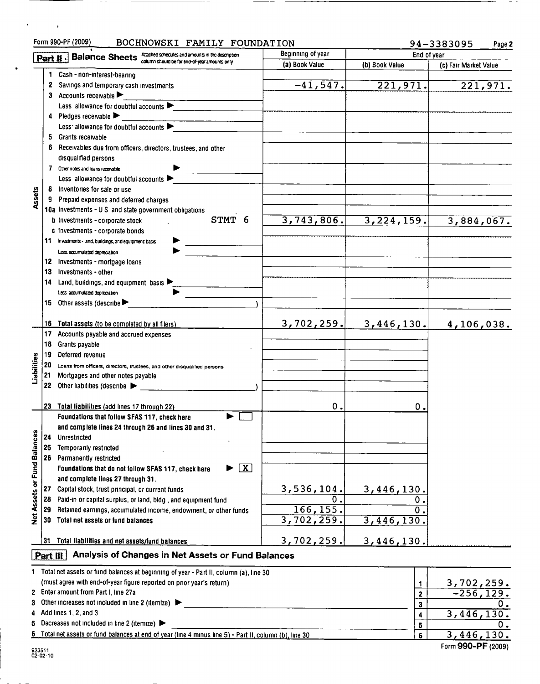|                             |          | Form 990-PF (2009)<br>BOCHNOWSKI FAMILY FOUNDATION                                                      |                          |                | 94-3383095<br>Page 2           |
|-----------------------------|----------|---------------------------------------------------------------------------------------------------------|--------------------------|----------------|--------------------------------|
|                             |          | Attached schedules and amounts in the description<br>Part II . Balance Sheets                           | Beginning of year        | End of year    |                                |
|                             |          | column should be for end-of-year amounts only                                                           | (a) Book Value           | (b) Book Value | (c) Fair Market Value          |
|                             | 1        | Cash - non-interest-bearing                                                                             |                          |                |                                |
|                             |          | 2 Savings and temporary cash investments                                                                | $-41, 547.$              | 221,971.       | $\overline{221,971.}$          |
|                             | З.       | Accounts receivable                                                                                     |                          |                |                                |
|                             |          | Less allowance for doubtful accounts $\blacktriangleright$                                              |                          |                |                                |
|                             |          | 4 Pledges receivable $\blacktriangleright$                                                              |                          |                |                                |
|                             |          | Less allowance for doubtful accounts                                                                    |                          |                |                                |
|                             | 5        | Grants receivable                                                                                       |                          |                |                                |
|                             |          | Receivables due from officers, directors, trustees, and other                                           |                          |                |                                |
|                             |          | disqualified persons                                                                                    |                          |                |                                |
|                             |          | 7 Other notes and loans receivable                                                                      |                          |                |                                |
|                             |          | Less allowance for doubtful accounts ▶                                                                  |                          |                |                                |
| Assets                      |          | Inventories for sale or use                                                                             |                          |                |                                |
|                             |          | Prepaid expenses and deferred charges                                                                   |                          |                |                                |
|                             |          | 10a Investments - U S and state government obligations<br>STMT 6                                        | 3,743,806.               |                |                                |
|                             |          | <b>b</b> Investments - corporate stock                                                                  |                          | 3, 224, 159.   | 3,884,067.                     |
|                             |          | c Investments - corporate bonds<br>11 Investments - land, buildings, and equipment basis                |                          |                |                                |
|                             |          | Less. accumulated depreciation                                                                          |                          |                |                                |
|                             | 12       | Investments - mortgage loans                                                                            |                          |                |                                |
|                             | 13       | Investments - other                                                                                     |                          |                |                                |
|                             | 14       | Land, buildings, and equipment basis $\blacktriangleright$                                              |                          |                |                                |
|                             |          | Less accumulated depreciation                                                                           |                          |                |                                |
|                             |          | 15 Other assets (describe                                                                               |                          |                |                                |
|                             |          |                                                                                                         |                          |                |                                |
|                             | 16       | Total assets (to be completed by all filers)                                                            | 3,702,259.               | 3,446,130.     | 4,106,038.                     |
|                             | 17       | Accounts payable and accrued expenses                                                                   |                          |                |                                |
|                             | 18       | Grants payable                                                                                          |                          |                |                                |
|                             | 19       | Deferred revenue                                                                                        |                          |                |                                |
|                             | 20       | Loans from officers, directors, trustees, and other disqualified persons                                |                          |                |                                |
| Liabilities                 | 21       | Mortgages and other notes payable                                                                       |                          |                |                                |
|                             | 22       | Other liabilities (describe                                                                             |                          |                |                                |
|                             |          |                                                                                                         |                          |                |                                |
|                             | 23       | Total liabilities (add lines 17 through 22)                                                             | ο.                       | 0.             |                                |
|                             |          | Foundations that follow SFAS 117, check here                                                            |                          |                |                                |
|                             |          | and complete lines 24 through 26 and lines 30 and 31.                                                   |                          |                |                                |
|                             | 24       | Unrestricted                                                                                            |                          |                |                                |
|                             | 25       | Temporarily restricted                                                                                  |                          |                |                                |
|                             | 26       | Permanently restricted                                                                                  |                          |                |                                |
|                             |          | $\sqrt{\mathbf{X}}$<br>▶<br>Foundations that do not follow SFAS 117, check here                         |                          |                |                                |
| Net Assets or Fund Balances |          | and complete lines 27 through 31.                                                                       |                          |                |                                |
|                             | 27       | Capital stock, trust principal, or current funds                                                        | 3,536,104.               | 3,446,130.     |                                |
|                             | 28       | Paid-in or capital surplus, or land, bldg, and equipment fund                                           | $\overline{0}$ .         | $\mathbf 0$ .  |                                |
|                             | 29       | Retained earnings, accumulated income, endowment, or other funds<br>Total net assets or fund balances   | 166, 155.                | $\Omega$       |                                |
|                             | 30       |                                                                                                         | $\overline{3,702}, 259.$ | 3,446,130.     |                                |
|                             | 31       | Total liabilities and net assets/fund balances                                                          | 3,702,259.               | 3,446,130.     |                                |
|                             |          |                                                                                                         |                          |                |                                |
|                             | Part III | Analysis of Changes in Net Assets or Fund Balances                                                      |                          |                |                                |
|                             |          | 1 Total net assets or fund balances at beginning of year - Part II, column (a), line 30                 |                          |                |                                |
|                             |          | (must agree with end-of-year figure reported on prior year's return)                                    |                          | 1              |                                |
|                             |          | 2 Enter amount from Part I, line 27a                                                                    |                          | 2              | $\frac{3,702,259.}{-256,129.}$ |
|                             |          | 3 Other increases not included in line 2 (itemize)                                                      |                          | 3              | 0.                             |
|                             |          | 4 Add lines 1, 2, and 3                                                                                 |                          | 4              | 3,446,130.                     |
|                             |          | 5 Decreases not included in line 2 (itemize)                                                            |                          | 5              | Ο.                             |
|                             |          | 6 Total net assets or fund balances at end of year (line 4 minus line 5) - Part II, column (b), line 30 |                          | 6              | 3,446,130.                     |

Form 990-PF (2009)

923511 02-02-10

 $\epsilon$ 

 $\sim 100$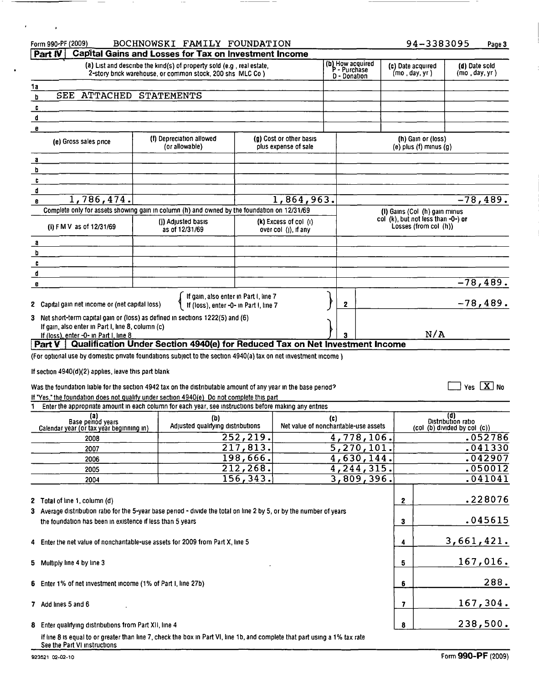|              | Form 990-PF (2009)<br>Part IV                                                                                                                                                                                                                                                                                                                                                           | BOCHNOWSKI FAMILY FOUNDATION<br><b>Capital Gains and Losses for Tax on Investment Income</b>                                         |                      |                                                   |     |                                                  | 94-3383095                                                  |                                                           | Page 3                         |
|--------------|-----------------------------------------------------------------------------------------------------------------------------------------------------------------------------------------------------------------------------------------------------------------------------------------------------------------------------------------------------------------------------------------|--------------------------------------------------------------------------------------------------------------------------------------|----------------------|---------------------------------------------------|-----|--------------------------------------------------|-------------------------------------------------------------|-----------------------------------------------------------|--------------------------------|
|              |                                                                                                                                                                                                                                                                                                                                                                                         | (a) List and describe the kind(s) of property sold (e.g., real estate,<br>2-story brick warehouse, or common stock, 200 shs MLC Co.) |                      |                                                   |     | (b) How acquired<br>P - Purchase<br>D - Donation | (c) Date acquired<br>(mo, day, yr)                          |                                                           | (d) Date sold<br>(mo, day, yr) |
| 1a           |                                                                                                                                                                                                                                                                                                                                                                                         |                                                                                                                                      |                      |                                                   |     |                                                  |                                                             |                                                           |                                |
| b            | SEE ATTACHED STATEMENTS                                                                                                                                                                                                                                                                                                                                                                 |                                                                                                                                      |                      |                                                   |     |                                                  |                                                             |                                                           |                                |
| c<br>d       |                                                                                                                                                                                                                                                                                                                                                                                         |                                                                                                                                      |                      |                                                   |     |                                                  |                                                             |                                                           |                                |
| e            |                                                                                                                                                                                                                                                                                                                                                                                         |                                                                                                                                      |                      |                                                   |     |                                                  |                                                             |                                                           |                                |
|              | (e) Gross sales price                                                                                                                                                                                                                                                                                                                                                                   | (f) Depreciation allowed<br>(or allowable)                                                                                           |                      | (g) Cost or other basis<br>plus expense of sale   |     |                                                  | (h) Gain or (loss)<br>$(e)$ plus $(f)$ minus $(q)$          |                                                           |                                |
| a            |                                                                                                                                                                                                                                                                                                                                                                                         |                                                                                                                                      |                      |                                                   |     |                                                  |                                                             |                                                           |                                |
| b<br>c       |                                                                                                                                                                                                                                                                                                                                                                                         |                                                                                                                                      |                      |                                                   |     |                                                  |                                                             |                                                           |                                |
| đ            |                                                                                                                                                                                                                                                                                                                                                                                         |                                                                                                                                      |                      |                                                   |     |                                                  |                                                             |                                                           |                                |
| e            | 1,786,474.                                                                                                                                                                                                                                                                                                                                                                              |                                                                                                                                      |                      | 1,864,963.                                        |     |                                                  |                                                             |                                                           | $-78,489.$                     |
|              | Complete only for assets showing gain in column (h) and owned by the foundation on 12/31/69                                                                                                                                                                                                                                                                                             |                                                                                                                                      |                      |                                                   |     |                                                  | (I) Gains (Col (h) gain minus                               |                                                           |                                |
|              | (i) FMV as of 12/31/69                                                                                                                                                                                                                                                                                                                                                                  | (I) Adjusted basis<br>as of 12/31/69                                                                                                 |                      | $(k)$ Excess of col $(l)$<br>over col (I), if any |     |                                                  | col (k), but not less than -0-) or<br>Losses (from col (h)) |                                                           |                                |
| $\mathbf{a}$ |                                                                                                                                                                                                                                                                                                                                                                                         |                                                                                                                                      |                      |                                                   |     |                                                  |                                                             |                                                           |                                |
| b            |                                                                                                                                                                                                                                                                                                                                                                                         |                                                                                                                                      |                      |                                                   |     |                                                  |                                                             |                                                           |                                |
| c<br>d       |                                                                                                                                                                                                                                                                                                                                                                                         |                                                                                                                                      |                      |                                                   |     |                                                  |                                                             |                                                           |                                |
| e            |                                                                                                                                                                                                                                                                                                                                                                                         |                                                                                                                                      |                      |                                                   |     |                                                  |                                                             |                                                           | $-78, 489.$                    |
|              | 2 Capital gain net income or (net capital loss)                                                                                                                                                                                                                                                                                                                                         | If gain, also enter in Part I, line 7<br>If (loss), enter -0- in Part I, line 7                                                      |                      |                                                   |     | 2                                                |                                                             |                                                           | $-78,489.$                     |
|              | 3 Net short-term capital gain or (loss) as defined in sections 1222(5) and (6)<br>If gain, also enter in Part I, line 8, column (c)                                                                                                                                                                                                                                                     |                                                                                                                                      |                      |                                                   |     |                                                  |                                                             |                                                           |                                |
|              | If (loss), enter -0- in Part I, line 8<br><b>Part V</b> Qualification Under Section 4940(e) for Reduced Tax on Net Investment Income                                                                                                                                                                                                                                                    |                                                                                                                                      |                      |                                                   |     |                                                  | N/A                                                         |                                                           |                                |
|              | (For optional use by domestic private foundations subject to the section 4940(a) tax on net investment income)<br>If section $4940(d)(2)$ applies, leave this part blank<br>Was the foundation liable for the section 4942 tax on the distributable amount of any year in the base period?<br>If "Yes," the foundation does not qualify under section 4940(e) Do not complete this part |                                                                                                                                      |                      |                                                   |     |                                                  |                                                             |                                                           | Yes $\boxed{\mathbf{X}}$ No    |
|              | Enter the appropriate amount in each column for each year, see instructions before making any entries                                                                                                                                                                                                                                                                                   |                                                                                                                                      |                      |                                                   |     |                                                  |                                                             |                                                           |                                |
|              | (a)<br>Base periód years<br>Calendar year (or tax year beginning in)                                                                                                                                                                                                                                                                                                                    | (b)<br>Adjusted qualifying distributions                                                                                             |                      | Net value of noncharitable-use assets             | (c) |                                                  |                                                             | (d)<br>Distribution ratio<br>(col (b) divided by col (c)) |                                |
|              | 2008                                                                                                                                                                                                                                                                                                                                                                                    |                                                                                                                                      | 252,219.<br>217,813. |                                                   |     | 4,778,106.<br>$\overline{5,270,101}$ .           |                                                             |                                                           | .052786<br>.041330             |
|              | 2007<br>2006                                                                                                                                                                                                                                                                                                                                                                            |                                                                                                                                      | 198,666.             |                                                   |     | 4,630,144.                                       |                                                             |                                                           | .042907                        |
|              | 2005                                                                                                                                                                                                                                                                                                                                                                                    |                                                                                                                                      | 212,268.             |                                                   |     | 4,244,315.                                       |                                                             |                                                           | .050012                        |
|              | 2004                                                                                                                                                                                                                                                                                                                                                                                    |                                                                                                                                      | 156,343.             |                                                   |     | 3,809,396.                                       |                                                             |                                                           | .041041                        |
|              | 2 Total of line 1, column (d)                                                                                                                                                                                                                                                                                                                                                           |                                                                                                                                      |                      |                                                   |     |                                                  | 2                                                           |                                                           | .228076                        |
|              | 3 Average distribution ratio for the 5-year base period - divide the total on line 2 by 5, or by the number of years<br>the foundation has been in existence if less than 5 years                                                                                                                                                                                                       |                                                                                                                                      |                      |                                                   |     |                                                  | 3                                                           |                                                           | .045615                        |
|              | 4 Enter the net value of noncharitable-use assets for 2009 from Part X, line 5                                                                                                                                                                                                                                                                                                          |                                                                                                                                      |                      |                                                   |     |                                                  | 4                                                           |                                                           | 3,661,421.                     |
|              | 5 Multiply line 4 by line 3                                                                                                                                                                                                                                                                                                                                                             |                                                                                                                                      |                      |                                                   |     |                                                  | 5                                                           |                                                           | 167,016.                       |
|              | 6 Enter 1% of net investment income (1% of Part I, line 27b)                                                                                                                                                                                                                                                                                                                            |                                                                                                                                      |                      |                                                   |     |                                                  | 6                                                           |                                                           | 288.                           |
|              | 7 Add lines 5 and 6                                                                                                                                                                                                                                                                                                                                                                     |                                                                                                                                      |                      |                                                   |     |                                                  | 7                                                           |                                                           | 167,304.                       |
|              | 8 Enter qualifying distributions from Part XII, line 4                                                                                                                                                                                                                                                                                                                                  |                                                                                                                                      |                      |                                                   |     |                                                  | 8                                                           |                                                           | 238,500.                       |
|              | If line 8 is equal to or greater than line 7, check the box in Part VI, line 1b, and complete that part using a 1% tax rate<br>See the Part VI instructions                                                                                                                                                                                                                             |                                                                                                                                      |                      |                                                   |     |                                                  |                                                             |                                                           |                                |

 $\overline{\phantom{a}}$ 

 $\mathcal{A}^{\text{max}}_{\text{max}}$  and

 $\ddot{\phantom{a}}$ 

 $\sim$ 

 $\sim$ 

 $\overline{\phantom{a}}$ 

- -

-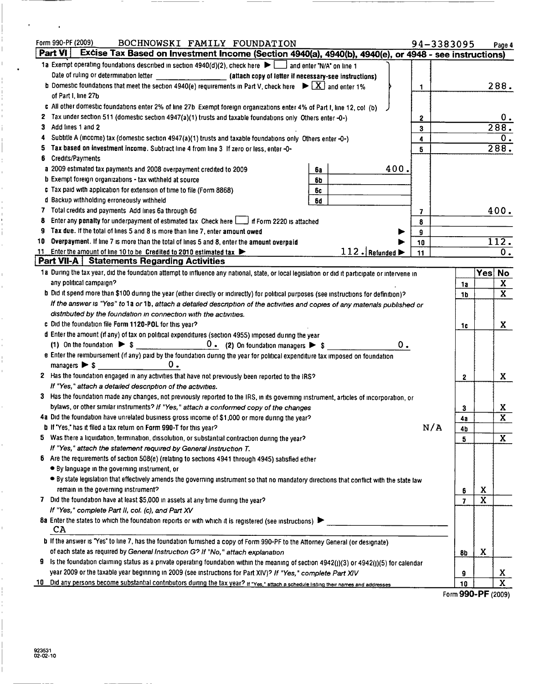|    | Form 990-PF (2009)<br>BOCHNOWSKI FAMILY FOUNDATION<br>94-3383095                                                                                                               |                |                         | Page 4                       |
|----|--------------------------------------------------------------------------------------------------------------------------------------------------------------------------------|----------------|-------------------------|------------------------------|
|    | Part $V1$<br>Excise Tax Based on Investment Income (Section 4940(a), 4940(b), 4940(e), or 4948 - see instructions)                                                             |                |                         |                              |
|    | 1a Exempt operating foundations described in section $4940(d)(2)$ , check here $\blacktriangleright$ and enter "N/A" on line 1                                                 |                |                         |                              |
|    |                                                                                                                                                                                |                |                         |                              |
|    | <b>b</b> Domestic foundations that meet the section 4940(e) requirements in Part V, check here $\blacktriangleright \lfloor X \rfloor$ and enter 1%<br>1                       |                |                         | 288.                         |
|    | of Part I, line 27b                                                                                                                                                            |                |                         |                              |
|    | c All other domestic foundations enter 2% of line 27b Exempt foreign organizations enter 4% of Part I, line 12, col (b)                                                        |                |                         |                              |
|    | 2 Tax under section 511 (domestic section 4947(a)(1) trusts and taxable foundations only Others enter -0-)<br>2                                                                |                |                         | 0.                           |
| З. | Add lines 1 and 2<br>3                                                                                                                                                         |                |                         | 288.                         |
| 4  | Subtitle A (income) tax (domestic section 4947(a)(1) trusts and taxable foundations only Others enter -0-)<br>4                                                                |                |                         | $\overline{0}$ .             |
| 5  | Tax based on investment income. Subtract line 4 from line 3 If zero or less, enter -0-<br>5                                                                                    |                |                         | 288.                         |
| 6  | <b>Credits/Payments</b>                                                                                                                                                        |                |                         |                              |
|    | 400.<br>a 2009 estimated tax payments and 2008 overpayment credited to 2009<br>63                                                                                              |                |                         |                              |
|    | <b>b</b> Exempt foreign organizations - tax withheld at source<br>6b                                                                                                           |                |                         |                              |
|    | c Tax paid with application for extension of time to file (Form 8868)<br>6c                                                                                                    |                |                         |                              |
|    | d Backup withholding erroneously withheld<br>6d                                                                                                                                |                |                         |                              |
|    | 7 Total credits and payments Add lines 6a through 6d<br>7                                                                                                                      |                |                         | 400.                         |
| 8  | Enter any penalty for underpayment of estimated tax Check here $\Box$ if Form 2220 is attached<br>8                                                                            |                |                         |                              |
| 9  | Tax due. If the total of lines 5 and 8 is more than line 7, enter amount owed<br>9                                                                                             |                |                         |                              |
| 10 | Overpayment. If line 7 is more than the total of lines 5 and 8, enter the amount overpaid<br>10                                                                                |                |                         | 112.                         |
|    | 112. Refunded<br>11 Enter the amount of line 10 to be Credited to 2010 estimated tax<br>11                                                                                     |                |                         | $\overline{0}$ .             |
|    | <b>Part VII-A</b> Statements Regarding Activities                                                                                                                              |                |                         |                              |
|    | 1a During the tax year, did the foundation attempt to influence any national, state, or local legislation or did it participate or intervene in                                |                | Yes                     | <b>No</b>                    |
|    | any political campaign?                                                                                                                                                        | 1a             |                         | $\mathbf{X}$                 |
|    | b Did it spend more than \$100 during the year (either directly or indirectly) for political purposes (see instructions for definition)?                                       | 1b             |                         | $\overline{\mathbf{x}}$      |
|    | If the answer is "Yes" to 1a or 1b, attach a detailed description of the activities and copies of any materials published or                                                   |                |                         |                              |
|    | distributed by the foundation in connection with the activities.                                                                                                               |                |                         |                              |
|    | c Did the foundation file Form 1120-POL for this year?                                                                                                                         | 1c             |                         | X.                           |
|    | d Enter the amount (if any) of tax on political expenditures (section 4955) imposed during the year                                                                            |                |                         |                              |
|    | $0$ . (2) On foundation managers $\triangleright$ \$<br>0.<br>(1) On the foundation $\triangleright$ \$                                                                        |                |                         |                              |
|    | e Enter the reimbursement (if any) paid by the foundation during the year for political expenditure tax imposed on foundation<br>$\mathbf 0$ .<br>managers $\triangleright$ \$ |                |                         |                              |
|    |                                                                                                                                                                                |                |                         |                              |
|    | 2 Has the foundation engaged in any activities that have not previously been reported to the IRS?<br>If "Yes," attach a detailed description of the activities.                | 2              |                         | X                            |
|    | 3 Has the foundation made any changes, not previously reported to the IRS, in its governing instrument, articles of incorporation, or                                          |                |                         |                              |
|    | bylaws, or other similar instruments? If "Yes," attach a conformed copy of the changes                                                                                         |                |                         |                              |
|    | 4a Did the foundation have unrelated business gross income of \$1,000 or more during the year?                                                                                 | 3              |                         | X<br>$\overline{\mathbf{x}}$ |
|    | N/A<br>b If "Yes," has it filed a tax return on Form 990-T for this year?                                                                                                      | 4а             |                         |                              |
|    | 5 Was there a liquidation, termination, dissolution, or substantial contraction during the year?                                                                               | 4b<br>5        |                         | $\mathbf{X}$                 |
|    | If "Yes," attach the statement required by General Instruction T.                                                                                                              |                |                         |                              |
| 6. | Are the requirements of section 508(e) (relating to sections 4941 through 4945) satisfied either                                                                               |                |                         |                              |
|    | • By language in the governing instrument, or                                                                                                                                  |                |                         |                              |
|    | . By state legislation that effectively amends the governing instrument so that no mandatory directions that conflict with the state law                                       |                |                         |                              |
|    | remain in the governing instrument?                                                                                                                                            | 6              | X                       |                              |
|    | 7 Did the foundation have at least \$5,000 in assets at any time during the year?                                                                                              | $\overline{7}$ | $\overline{\mathbf{x}}$ |                              |
|    | If "Yes," complete Part II, col. (c), and Part XV                                                                                                                              |                |                         |                              |
|    | 8a Enter the states to which the foundation reports or with which it is registered (see instructions)                                                                          |                |                         |                              |
|    | CA                                                                                                                                                                             |                |                         |                              |
|    | b If the answer is "Yes" to line 7, has the foundation furnished a copy of Form 990-PF to the Attorney General (or designate)                                                  |                |                         |                              |
|    | of each state as required by General Instruction G? If "No," attach explanation                                                                                                | 8b             | X                       |                              |
| 9  | is the foundation claiming status as a private operating foundation within the meaning of section 4942(j)(3) or 4942(j)(5) for calendar                                        |                |                         |                              |
|    | year 2009 or the taxable year beginning in 2009 (see instructions for Part XIV)? If "Yes," complete Part XIV                                                                   | 9              |                         | X                            |
| 10 | Did any persons become substantial contributors during the tax year? If "Yes," attach a schedule listing their names and addresses                                             | 10             |                         | $\mathbf{x}$                 |
|    |                                                                                                                                                                                | nnn.           |                         |                              |

Form 990-PF (2009)

 $\bar{1}$ 

 $\bar{1}$ 

 $\cdot$ 

 $\ddot{\phantom{a}}$ 

 $\mathcal{L}$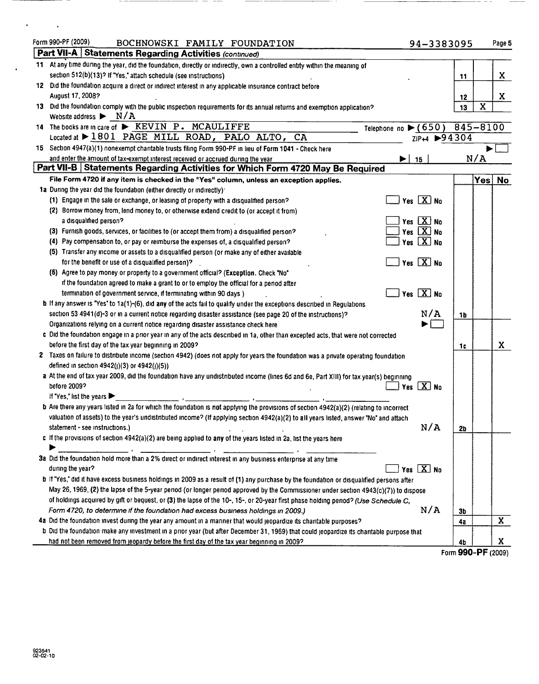| Form 990-PF (2009)<br>BOCHNOWSKI FAMILY FOUNDATION                                                                                             | 94-3383095                               |    | Page 5                  |
|------------------------------------------------------------------------------------------------------------------------------------------------|------------------------------------------|----|-------------------------|
| Part VII-A Statements Regarding Activities (continued)                                                                                         |                                          |    |                         |
| 11 At any time during the year, did the foundation, directly or indirectly, own a controlled entity within the meaning of                      |                                          |    |                         |
| section 512(b)(13)? If "Yes," attach schedule (see instructions)                                                                               |                                          | 11 | X                       |
| 12 Did the foundation acquire a direct or indirect interest in any applicable insurance contract before                                        |                                          |    |                         |
| August 17, 2008?                                                                                                                               |                                          | 12 | X                       |
| 13 Did the foundation comply with the public inspection requirements for its annual returns and exemption application?                         |                                          | 13 | $\overline{\mathbf{X}}$ |
| Website address $\blacktriangleright$ N/A                                                                                                      |                                          |    |                         |
| 14 The books are in care of $\triangleright$ KEVIN P. MCAULIFFE                                                                                | Telephone no $\blacktriangleright$ (650) |    | 845-8100                |
| Located at > 1801 PAGE MILL ROAD, PALO ALTO, CA                                                                                                | ZIP+4 ▶94304                             |    |                         |
| 15 Section 4947(a)(1) nonexempt charitable trusts filing Form 990-PF in lieu of Form 1041 - Check here                                         |                                          |    |                         |
| and enter the amount of tax-exempt interest received or accrued during the year                                                                | 15                                       |    | N/A                     |
| Part VII-B Statements Regarding Activities for Which Form 4720 May Be Required                                                                 |                                          |    |                         |
| File Form 4720 if any item is checked in the "Yes" column, unless an exception applies.                                                        |                                          |    | Yes No                  |
| 1a During the year did the foundation (either directly or indirectly).                                                                         |                                          |    |                         |
| (1) Engage in the sale or exchange, or leasing of property with a disqualified person?                                                         | Yes $X$ No                               |    |                         |
| (2) Borrow money from, lend money to, or otherwise extend credit to (or accept it from)                                                        |                                          |    |                         |
| a disqualified person?                                                                                                                         | Yes X No                                 |    |                         |
| (3) Furnish goods, services, or facilities to (or accept them from) a disqualified person?                                                     | Yes $\overline{X}$ No                    |    |                         |
| (4) Pay compensation to, or pay or reimburse the expenses of, a disqualified person?                                                           | Yes $\boxed{\text{X}}$ No                |    |                         |
| (5) Transfer any income or assets to a disqualified person (or make any of either available                                                    |                                          |    |                         |
| for the benefit or use of a disqualified person)?                                                                                              | Yes $X$ No                               |    |                         |
| (6) Agree to pay money or property to a government official? (Exception, Check "No"                                                            |                                          |    |                         |
| if the foundation agreed to make a grant to or to employ the official for a period after                                                       |                                          |    |                         |
| termination of government service, if terminating within 90 days)                                                                              | Yes $\boxed{X}$ No                       |    |                         |
| b If any answer is "Yes" to 1a(1)-(6), did any of the acts fail to qualify under the exceptions described in Regulations                       |                                          |    |                         |
| section 53 4941(d)-3 or in a current notice regarding disaster assistance (see page 20 of the instructions)?                                   | N/A                                      | 1b |                         |
| Organizations relying on a current notice regarding disaster assistance check here                                                             |                                          |    |                         |
| c Did the foundation engage in a prior year in any of the acts described in 1a, other than excepted acts, that were not corrected              |                                          |    |                         |
| before the first day of the tax year beginning in 2009?                                                                                        |                                          | 1c | X.                      |
| 2 Taxes on failure to distribute income (section 4942) (does not apply for years the foundation was a private operating foundation             |                                          |    |                         |
| defined in section 4942(j)(3) or 4942(j)(5))                                                                                                   |                                          |    |                         |
| a At the end of tax year 2009, did the foundation have any undistributed income (lines 6d and 6e, Part XIII) for tax year(s) beginning         |                                          |    |                         |
| before 2009?                                                                                                                                   | Yes $X$ No                               |    |                         |
| If "Yes," list the years                                                                                                                       |                                          |    |                         |
| <b>b</b> Are there any years listed in 2a for which the foundation is not applying the provisions of section 4942(a)(2) (relating to incorrect |                                          |    |                         |
| valuation of assets) to the year's undistributed income? (If applying section 4942(a)(2) to all years listed, answer "No" and attach           |                                          |    |                         |
| statement - see instructions.)                                                                                                                 | N/A                                      | 2b |                         |
| c If the provisions of section $4942(a)(2)$ are being applied to any of the years listed in 2a, list the years here                            |                                          |    |                         |
|                                                                                                                                                |                                          |    |                         |
| 3a Did the foundation hold more than a 2% direct or indirect interest in any business enterprise at any time                                   |                                          |    |                         |
| during the year?                                                                                                                               | Yes $X$ No                               |    |                         |
| b If "Yes," did it have excess business holdings in 2009 as a result of (1) any purchase by the foundation or disqualified persons after       |                                          |    |                         |
| May 26, 1969, (2) the lapse of the 5-year period (or longer period approved by the Commissioner under section 4943(c)(7)) to dispose           |                                          |    |                         |
| of holdings acquired by gift or bequest, or (3) the lapse of the 10-, 15-, or 20-year first phase holding period? (Use Schedule C,             |                                          |    |                         |
| Form 4720, to determine if the foundation had excess business holdings in 2009.)                                                               | N/A                                      | 3b |                         |
| 4a Did the foundation invest during the year any amount in a manner that would jeopardize its charitable purposes?                             |                                          | 4a | X                       |
| b Did the foundation make any investment in a prior year (but after December 31, 1969) that could jeopardize its charitable purpose that       |                                          |    |                         |
| had not been removed from jeopardy before the first day of the tax year beginning in 2009?                                                     |                                          | 4b | X                       |
|                                                                                                                                                |                                          |    | Form 990-PF (2009)      |

 $\qquad \qquad -$ 

 $\qquad \qquad -$ 

 $\epsilon_{\rm{max}}=1$ 

 $\ddot{\phantom{0}}$ 

\_\_\_\_ \_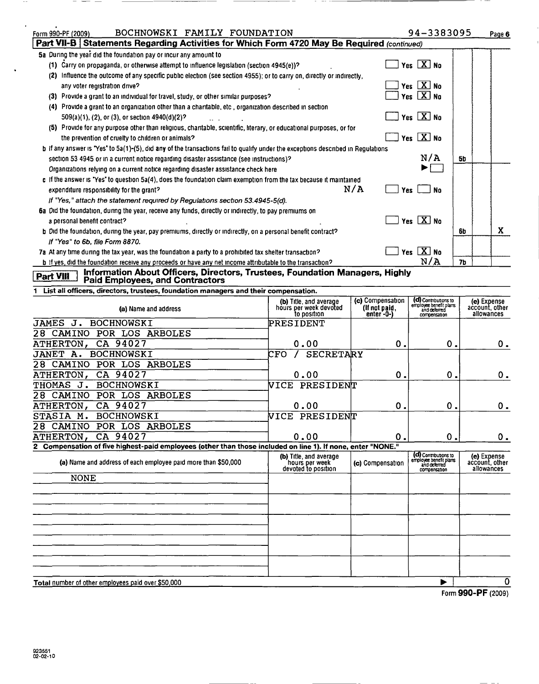| BOCHNOWSKI FAMILY FOUNDATION<br>Form 990-PF (2009)                                                                                           |                                                                 |                                                 | 94-3383095                                                                     | Page 6                                      |
|----------------------------------------------------------------------------------------------------------------------------------------------|-----------------------------------------------------------------|-------------------------------------------------|--------------------------------------------------------------------------------|---------------------------------------------|
| Part VII-B Statements Regarding Activities for Which Form 4720 May Be Required (continued)                                                   |                                                                 |                                                 |                                                                                |                                             |
| 5a During the year did the foundation pay or incur any amount to                                                                             |                                                                 |                                                 |                                                                                |                                             |
| (1) Carry on propaganda, or otherwise attempt to influence legislation (section 4945(e))?                                                    |                                                                 |                                                 | Yes $X$ No                                                                     |                                             |
| (2) Influence the outcome of any specific public election (see section 4955); or to carry on, directly or indirectly,                        |                                                                 |                                                 |                                                                                |                                             |
| any voter reqistration drive?                                                                                                                |                                                                 |                                                 | Yes $X$ No                                                                     |                                             |
| (3) Provide a grant to an individual for travel, study, or other similar purposes?                                                           |                                                                 |                                                 | Yes $[X]$ No                                                                   |                                             |
| (4) Provide a grant to an organization other than a charitable, etc, organization described in section                                       |                                                                 |                                                 |                                                                                |                                             |
| 509(a)(1), (2), or (3), or section 4940(d)(2)?                                                                                               |                                                                 |                                                 | Yes $X$ No                                                                     |                                             |
| (5) Provide for any purpose other than religious, charitable, scientific, literary, or educational purposes, or for                          |                                                                 |                                                 |                                                                                |                                             |
| the prevention of cruelty to children or animals?                                                                                            |                                                                 |                                                 | Yes $X$ No                                                                     |                                             |
| <b>b</b> if any answer is "Yes" to 5a(1)-(5), did any of the transactions fail to qualify under the exceptions described in Regulations      |                                                                 |                                                 |                                                                                |                                             |
| section 53 4945 or in a current notice regarding disaster assistance (see instructions)?                                                     |                                                                 |                                                 | N/A                                                                            | 5b                                          |
| Organizations relying on a current notice regarding disaster assistance check here                                                           |                                                                 |                                                 |                                                                                |                                             |
| c If the answer is "Yes" to question $5a(4)$ , does the foundation claim exemption from the tax because it maintained                        |                                                                 |                                                 |                                                                                |                                             |
| expenditure responsibility for the grant?                                                                                                    |                                                                 | N/A<br>Yes                                      | <b>No</b>                                                                      |                                             |
| If "Yes," attach the statement required by Regulations section 53.4945-5(d).                                                                 |                                                                 |                                                 |                                                                                |                                             |
| 6a Did the foundation, during the year, receive any funds, directly or indirectly, to pay premiums on                                        |                                                                 |                                                 | Yes $\boxed{X}$ No                                                             |                                             |
| a personal benefit contract?<br>b Did the foundation, during the year, pay premiums, directly or indirectly, on a personal benefit contract? |                                                                 |                                                 |                                                                                | X                                           |
| If "Yes" to 6b, file Form 8870.                                                                                                              |                                                                 |                                                 |                                                                                | 6b                                          |
| 7a At any time during the tax year, was the foundation a party to a prohibited tax shelter transaction?                                      |                                                                 |                                                 | Yes $X$ No                                                                     |                                             |
| b if yes, did the foundation receive any proceeds or have any net income attributable to the transaction?                                    |                                                                 |                                                 | N/A                                                                            | 7b                                          |
| Information About Officers, Directors, Trustees, Foundation Managers, Highly                                                                 |                                                                 |                                                 |                                                                                |                                             |
| Part VIII<br><b>Paid Employees, and Contractors</b>                                                                                          |                                                                 |                                                 |                                                                                |                                             |
| 1 List all officers, directors, trustees, foundation managers and their compensation.                                                        |                                                                 |                                                 |                                                                                |                                             |
| (a) Name and address                                                                                                                         | (b) Title, and average<br>hours per week devoted<br>to position | (c) Compensation<br>(If not paid,<br>enter -0-) | (d) Contributions to<br>employee benefit plans<br>and deferred<br>compensation | (e) Expense<br>account, other<br>allowances |
| JAMES<br>J.<br><b>BOCHNOWSKI</b>                                                                                                             | PRESIDENT                                                       |                                                 |                                                                                |                                             |
| POR LOS ARBOLES<br>28 CAMINO                                                                                                                 |                                                                 |                                                 |                                                                                |                                             |
| CA 94027<br>ATHERTON,                                                                                                                        | 0.00                                                            | 0.                                              | Ο.                                                                             | 0.                                          |
| <b>JANET A.</b><br><b>BOCHNOWSKI</b>                                                                                                         | <b>SECRETARY</b><br>CFO                                         |                                                 |                                                                                |                                             |
| POR LOS ARBOLES<br>28 CAMINO                                                                                                                 |                                                                 |                                                 |                                                                                |                                             |
| CA 94027<br>ATHERTON,                                                                                                                        | 0.00                                                            | 0.                                              | Ο.                                                                             | 0.                                          |
| <b>THOMAS</b><br><b>BOCHNOWSKI</b><br>J.                                                                                                     | VICE PRESIDENT                                                  |                                                 |                                                                                |                                             |
| POR LOS ARBOLES<br>28.<br>CAMINO                                                                                                             |                                                                 |                                                 |                                                                                |                                             |
| <b>ATHERTON,</b><br>CA 94027                                                                                                                 | 0.00                                                            | 0.                                              | 0.                                                                             | 0.                                          |
| STASIA M. BOCHNOWSKI                                                                                                                         | VICE PRESIDENT                                                  |                                                 |                                                                                |                                             |
|                                                                                                                                              |                                                                 |                                                 |                                                                                |                                             |
| 28<br>CAMINO POR LOS ARBOLES                                                                                                                 |                                                                 |                                                 |                                                                                |                                             |
| CA 94027<br>ATHERTON,                                                                                                                        | 0.00                                                            | 0.                                              | 0.                                                                             | $0_{.}$                                     |
| 2 Compensation of five highest-paid employees (other than those included on line 1). If none, enter "NONE."                                  |                                                                 |                                                 |                                                                                |                                             |
| (a) Name and address of each employee paid more than \$50,000                                                                                | (b) Title, and average                                          | (c) Compensation                                | (d) Contributions to<br>employee benefit plans<br>and deferred                 | (e) Expense<br>account, other               |
|                                                                                                                                              | hours per week<br>devoted to position                           |                                                 | compensation                                                                   | allowances                                  |
| <b>NONE</b>                                                                                                                                  |                                                                 |                                                 |                                                                                |                                             |
|                                                                                                                                              |                                                                 |                                                 |                                                                                |                                             |
|                                                                                                                                              |                                                                 |                                                 |                                                                                |                                             |
|                                                                                                                                              |                                                                 |                                                 |                                                                                |                                             |
|                                                                                                                                              |                                                                 |                                                 |                                                                                |                                             |

Total number of other employees paid over \$50,000 <del>△ 1 U → 2 U → 2 U → 2 U</del> → 2 U → 2 U → 2 U → 2 U → 2 U → 2 U → 2 U → 2 U → 2 U → 2 U → 2 U → 2 U → 2 U → 2 U → 2 U → 2 U → 2 U → 2 U → 2 U → 2 U → 2 U → 2 U → 2 U → 2 U →

Form 990-PF (2009)

 $\sim$   $-$ 

 $\hat{\mathbf{r}}$ 

 $\ddot{\phantom{0}}$ 

 $\hspace{0.1mm}-\hspace{0.1mm}$  $\sim$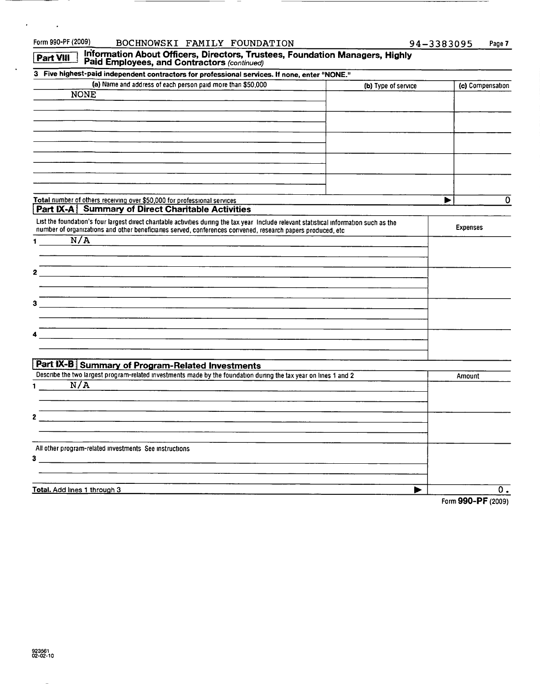| Form 990-PF (2009)<br>BOCHNOWSKI FAMILY FOUNDATION                                                                                       |                     | 94-3383095<br>Page 7 |
|------------------------------------------------------------------------------------------------------------------------------------------|---------------------|----------------------|
| Information About Officers, Directors, Trustees, Foundation Managers, Highly<br>Part VIII<br>Paid Employees, and Contractors (continued) |                     |                      |
| 3 Five highest-paid independent contractors for professional services. If none, enter "NONE."                                            |                     |                      |
| (a) Name and address of each person paid more than \$50,000                                                                              | (b) Type of service | (c) Compensation     |
| <b>NONE</b>                                                                                                                              |                     |                      |
|                                                                                                                                          |                     |                      |
|                                                                                                                                          |                     |                      |
|                                                                                                                                          |                     |                      |
|                                                                                                                                          |                     |                      |
|                                                                                                                                          |                     |                      |
|                                                                                                                                          |                     |                      |
|                                                                                                                                          |                     |                      |
|                                                                                                                                          |                     |                      |
| Total number of others receiving over \$50,000 for professional services<br>Part IX-A Summary of Direct Charitable Activities            |                     | 0<br>▶               |
| List the foundation's four largest direct charitable activities during the tax year Include relevant statistical information such as the |                     |                      |
| number of organizations and other beneficiaries served, conferences convened, research papers produced, etc                              |                     | <b>Expenses</b>      |
| N/A<br>1                                                                                                                                 |                     |                      |
|                                                                                                                                          |                     |                      |
|                                                                                                                                          |                     |                      |
| 2                                                                                                                                        |                     |                      |
|                                                                                                                                          |                     |                      |
| з                                                                                                                                        |                     |                      |
|                                                                                                                                          |                     |                      |
|                                                                                                                                          |                     |                      |
| 4                                                                                                                                        |                     |                      |
|                                                                                                                                          |                     |                      |
| Part IX-B Summary of Program-Related Investments                                                                                         |                     |                      |
| Describe the two largest program-related investments made by the foundation during the tax year on lines 1 and 2                         |                     | Amount               |
| N/A<br>1                                                                                                                                 |                     |                      |
|                                                                                                                                          |                     |                      |
|                                                                                                                                          |                     |                      |
| 2                                                                                                                                        |                     |                      |
|                                                                                                                                          |                     |                      |
| All other program-related investments See instructions                                                                                   |                     |                      |
| 3 <sub>1</sub>                                                                                                                           |                     |                      |
|                                                                                                                                          |                     |                      |
|                                                                                                                                          |                     |                      |
| Total. Add lines 1 through 3                                                                                                             |                     | 0.<br>$\sim$ $\sim$  |

 $\mathcal{A}(\mathcal{A})$  and  $\mathcal{A}(\mathcal{A})$ 

 $\bar{\beta}$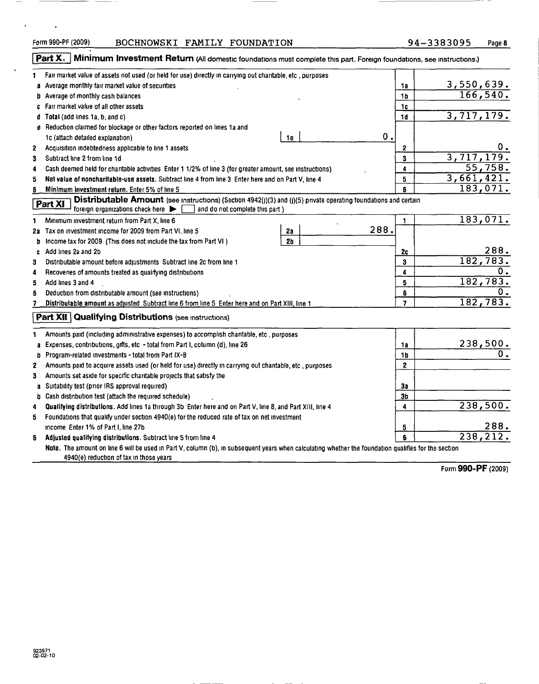————

<u> 1989 - 1989 - 1989 - 1989 - 1989 - 1989 - 1989 - 1989 - 1989 - 1989 - 1989 - 1989 - 1989 - 1989 - 1989 - 19</u>

 $\sim$   $\sim$ 

 $\mathbf{r}$ 

# Form 990-PF (2009) BOCHNOWSKI FAMILY FOUNDATION 94-3383095 Page 8

———————

|    | Part X.<br>Minimum Investment Return (All domestic foundations must complete this part. Foreign foundations, see instructions.)                                                                   |                |                               |
|----|---------------------------------------------------------------------------------------------------------------------------------------------------------------------------------------------------|----------------|-------------------------------|
| 1  | Fair market value of assets not used (or held for use) directly in carrying out charitable, etc , purposes                                                                                        |                |                               |
| a  | Average monthly fair market value of securities                                                                                                                                                   | 1a             |                               |
| Þ  | Average of monthly cash balances                                                                                                                                                                  | 1 <sub>b</sub> | $\frac{3,550,639.}{166,540.}$ |
|    | Fair market value of all other assets                                                                                                                                                             | 1c             |                               |
| d  | Total (add lines 1a, b, and c)                                                                                                                                                                    | 1d             | 3,717,179.                    |
|    | g Reduction claimed for blockage or other factors reported on lines 1a and                                                                                                                        |                |                               |
|    | 0.1<br><b>1e</b><br>1c (attach detailed explanation)                                                                                                                                              |                |                               |
| 2  | Acquisition indebtedness applicable to line 1 assets                                                                                                                                              | 2              | 0.                            |
| 3  | Subtract line 2 from line 1d                                                                                                                                                                      | 3              | 3,717,179.                    |
| 4  | Cash deemed held for charitable activities Enter 1 1/2% of line 3 (for greater amount, see instructions)                                                                                          | 4              | 55,758.                       |
| 5  | Net value of noncharitable-use assets. Subtract line 4 from line 3 Enter here and on Part V, line 4                                                                                               | 5              | 3,661,421.                    |
| 6  | Minimum investment return. Enter 5% of line 5                                                                                                                                                     | ĥ              | 183,071.                      |
|    | Distributable Amount (see Instructions) (Section 4942(J)(3) and (J)(5) private operating foundations and certain<br>Part XI<br>foreign organizations check here<br>and do not complete this part) |                |                               |
| 1  | Minimum investment return from Part X, line 6                                                                                                                                                     | 1              | 183,071.                      |
|    | 288.<br>2a Tax on investment income for 2009 from Part VI, line 5<br>2a                                                                                                                           |                |                               |
| b  | Income tax for 2009 (This does not include the tax from Part VI)<br>2 <sub>b</sub>                                                                                                                |                |                               |
| c  | Add lines 2a and 2b                                                                                                                                                                               | 2c             | 288.                          |
| 3  | Distributable amount before adjustments Subtract line 2c from line 1                                                                                                                              | 3              | 182,783.                      |
| 4  | Recoveries of amounts treated as qualifying distributions                                                                                                                                         | 4              | 0.                            |
| 5  | Add lines 3 and 4                                                                                                                                                                                 | 5              | 182,783.                      |
| 6  | Deduction from distributable amount (see instructions)                                                                                                                                            | 6              |                               |
| 7  | Distributable amount as adjusted Subtract line 6 from line 5 Enter here and on Part XIII, line 1                                                                                                  | $\overline{7}$ | 182, 783.                     |
| 1  | <b>Part XII Qualifying Distributions (see Instructions)</b><br>Amounts paid (including administrative expenses) to accomplish charitable, etc., purposes                                          |                |                               |
| a  | Expenses, contributions, gifts, etc - total from Part I, column (d), line 26                                                                                                                      | 1a             | <u>238,500.</u>               |
| b  | Program-related investments - total from Part IX-B                                                                                                                                                | 1 <b>b</b>     |                               |
| 2  | Amounts paid to acquire assets used (or held for use) directly in carrying out charitable, etc , purposes                                                                                         | $\mathbf 2$    |                               |
| 3  | Amounts set aside for specific charitable projects that satisfy the                                                                                                                               |                |                               |
|    | a Suitability test (prior IRS approval required)                                                                                                                                                  | 3a             |                               |
|    | b Cash distribution test (attach the required schedule)                                                                                                                                           | 3b             |                               |
| 4  | Qualifying distributions. Add lines 1a through 3b Enter here and on Part V, line 8, and Part XIII, line 4                                                                                         | 4              | 238,500.                      |
| 5  | Foundations that qualify under section 4940(e) for the reduced rate of tax on net investment                                                                                                      |                |                               |
|    | income Enter 1% of Part I, line 27b                                                                                                                                                               | 5              | 288.                          |
| s. | Adjusted qualifying distributions. Subtract line 5 from line 4                                                                                                                                    | 6              | 238, 212.                     |
|    | Note. The amount on line 6 will be used in Part V, column (b), in subsequent years when calculating whether the foundation qualifies for the section<br>4940(e) reduction of tax in those years   |                |                               |
|    |                                                                                                                                                                                                   |                |                               |

Form 990-PF (2009)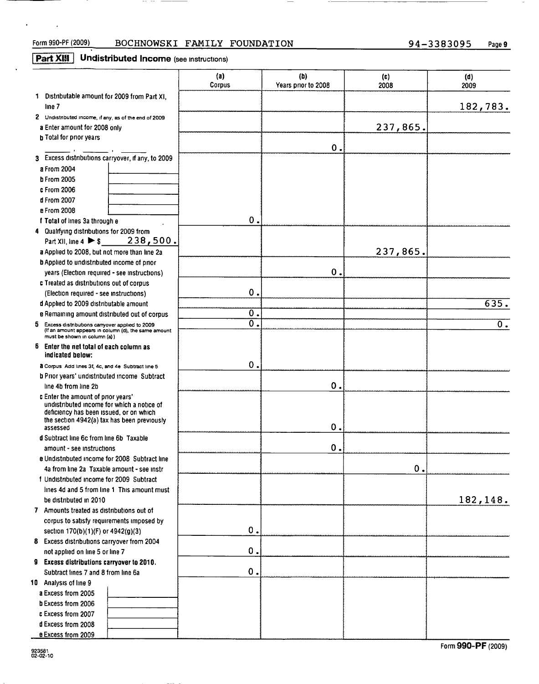$\mathcal{L}^{\text{max}}$  and  $\mathcal{L}^{\text{max}}$ 

 $\mathbf{A}^{\mathrm{eff}}$ 

# Form 990-PF (2009) BOCHNOWSKI FAMILY FOUNDATION 94-3383095 Page 9

 $\cdots$  .  $\cdots$  .  $\cdots$  .  $\cdots$  .  $\cdots$  .  $\cdots$  .  $\cdots$  .  $\cdots$  .  $\cdots$  .  $\cdots$  .  $\cdots$  .  $\cdots$  .  $\cdots$  .  $\cdots$  .  $\cdots$  .  $\cdots$  .  $\cdots$  .  $\cdots$  .  $\cdots$  .  $\cdots$  .  $\cdots$  .  $\cdots$  .  $\cdots$  .  $\cdots$  .  $\cdots$  .  $\cdots$  .  $\cdots$  .  $\cdots$ 

# **Part XIII** Undistributed Income (see instructions)

|                                                                                                                                                  | (a)<br>Corpus  | (b)<br>Years prior to 2008 | (c)<br>2008   | (d)<br>2009      |
|--------------------------------------------------------------------------------------------------------------------------------------------------|----------------|----------------------------|---------------|------------------|
| 1 Distributable amount for 2009 from Part XI.                                                                                                    |                |                            |               |                  |
| line 7                                                                                                                                           |                |                            |               | 182,783.         |
| 2 Undistributed income, if any, as of the end of 2009                                                                                            |                |                            |               |                  |
| a Enter amount for 2008 only                                                                                                                     |                |                            | 237,865.      |                  |
| <b>b</b> Total for prior years                                                                                                                   |                |                            |               |                  |
|                                                                                                                                                  |                | 0.                         |               |                  |
| 3 Excess distributions carryover, if any, to 2009                                                                                                |                |                            |               |                  |
| a From 2004                                                                                                                                      |                |                            |               |                  |
| <b>b From 2005</b>                                                                                                                               |                |                            |               |                  |
| c From 2006                                                                                                                                      |                |                            |               |                  |
| d From 2007                                                                                                                                      |                |                            |               |                  |
| e From 2008                                                                                                                                      |                |                            |               |                  |
| f Total of lines 3a through e                                                                                                                    | $\mathbf 0$    |                            |               |                  |
| 4 Qualifying distributions for 2009 from                                                                                                         |                |                            |               |                  |
| 238,500.<br>Part XII, line $4 \triangleright $                                                                                                   |                |                            |               |                  |
|                                                                                                                                                  |                |                            |               |                  |
| a Applied to 2008, but not more than line 2a                                                                                                     |                |                            | 237,865.      |                  |
| <b>b</b> Applied to undistributed income of prior                                                                                                |                | $\mathbf 0$ .              |               |                  |
| years (Election required - see instructions)                                                                                                     |                |                            |               |                  |
| c Treated as distributions out of corpus                                                                                                         | $\mathbf 0$    |                            |               |                  |
| (Election required - see instructions)                                                                                                           |                |                            |               |                  |
| d Applied to 2009 distributable amount                                                                                                           |                |                            |               | 635.             |
| e Remaining amount distributed out of corpus                                                                                                     | 0.             |                            |               |                  |
| 5 Excess distributions carryover applied to 2009<br>(If an amount appears in column (d), the same amount<br>must be shown in column (a))         | $\overline{0}$ |                            |               | $\overline{0}$ . |
| 6<br>Enter the net total of each column as<br>indicated below:                                                                                   |                |                            |               |                  |
| a Corpus Add lines 3f, 4c, and 4e Subtract line 5                                                                                                | 0.             |                            |               |                  |
| b Prior years' undistributed income Subtract                                                                                                     |                |                            |               |                  |
| line 4b from line 2b                                                                                                                             |                | 0.                         |               |                  |
| c Enter the amount of prior years'                                                                                                               |                |                            |               |                  |
| undistributed income for which a notice of<br>deficiency has been issued, or on which<br>the section 4942(a) tax has been previously<br>assessed |                | Ο.                         |               |                  |
| d Subtract line 6c from line 6b Taxable                                                                                                          |                |                            |               |                  |
| amount - see instructions                                                                                                                        |                | $\mathbf 0$ .              |               |                  |
| e Undistributed income for 2008 Subtract line                                                                                                    |                |                            |               |                  |
| 4a from line 2a Taxable amount - see instr                                                                                                       |                |                            | $\mathbf 0$ . |                  |
| f Undistributed income for 2009 Subtract                                                                                                         |                |                            |               |                  |
| lines 4d and 5 from line 1 This amount must                                                                                                      |                |                            |               |                  |
| be distributed in 2010                                                                                                                           |                |                            |               | 182,148.         |
| 7 Amounts treated as distributions out of                                                                                                        |                |                            |               |                  |
| corpus to satisfy requirements imposed by                                                                                                        |                |                            |               |                  |
| section $170(b)(1)(F)$ or $4942(g)(3)$                                                                                                           | 0.             |                            |               |                  |
| 8 Excess distributions carryover from 2004                                                                                                       |                |                            |               |                  |
| not applied on line 5 or line 7                                                                                                                  | 0.             |                            |               |                  |
| 9 Excess distributions carryover to 2010.                                                                                                        |                |                            |               |                  |
| Subtract lines 7 and 8 from line 6a                                                                                                              | $\mathbf 0$ .  |                            |               |                  |
| 10 Analysis of line 9                                                                                                                            |                |                            |               |                  |
| a Excess from 2005                                                                                                                               |                |                            |               |                  |
| b Excess from 2006                                                                                                                               |                |                            |               |                  |
| c Excess from 2007                                                                                                                               |                |                            |               |                  |
| d Excess from 2008                                                                                                                               |                |                            |               |                  |
| e Excess from 2009                                                                                                                               |                |                            |               |                  |

Form 990-PF (2009)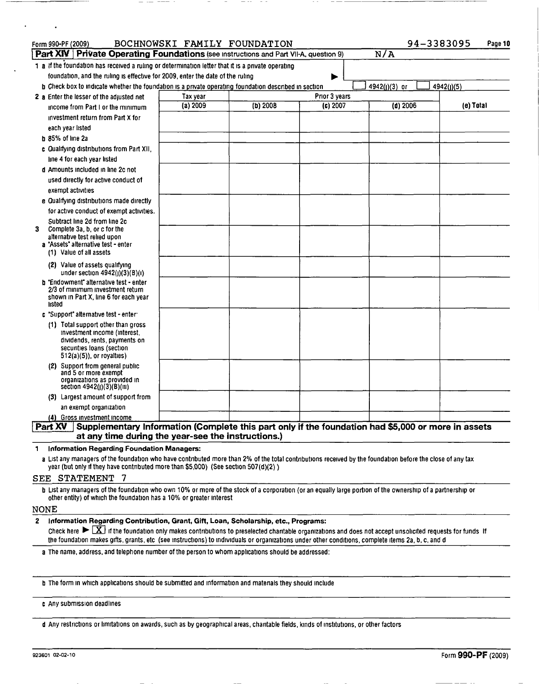| Form 990-PF (2009)                                                                                                                                                                                                                              |          | BOCHNOWSKI FAMILY FOUNDATION |               |               | 94-3383095<br>Page 10 |
|-------------------------------------------------------------------------------------------------------------------------------------------------------------------------------------------------------------------------------------------------|----------|------------------------------|---------------|---------------|-----------------------|
| Part XIV   Private Operating Foundations (see instructions and Part VII-A, question 9)                                                                                                                                                          |          |                              |               | N/A           |                       |
| 1 a if the foundation has received a ruling or determination letter that it is a private operating<br>foundation, and the ruling is effective for 2009, enter the date of the ruling                                                            |          |                              |               |               |                       |
| <b>b</b> Check box to indicate whether the foundation is a private operating foundation described in section                                                                                                                                    |          |                              |               | 4942(j)(3) or | 4942(J)(5)            |
| 2 a Enter the lesser of the adjusted net                                                                                                                                                                                                        | Tax year |                              | Prior 3 years |               |                       |
| income from Part I or the minimum                                                                                                                                                                                                               | (a) 2009 | $(b)$ 2008                   | (c) 2007      | $(d)$ 2006    | (e) Total             |
| investment return from Part X for                                                                                                                                                                                                               |          |                              |               |               |                       |
| each year listed                                                                                                                                                                                                                                |          |                              |               |               |                       |
| $b$ 85% of line 2a                                                                                                                                                                                                                              |          |                              |               |               |                       |
| c Qualifying distributions from Part XII.                                                                                                                                                                                                       |          |                              |               |               |                       |
| line 4 for each year listed                                                                                                                                                                                                                     |          |                              |               |               |                       |
| d Amounts included in line 2c not                                                                                                                                                                                                               |          |                              |               |               |                       |
| used directly for active conduct of                                                                                                                                                                                                             |          |                              |               |               |                       |
| exempt activities                                                                                                                                                                                                                               |          |                              |               |               |                       |
| e Qualifying distributions made directly                                                                                                                                                                                                        |          |                              |               |               |                       |
| for active conduct of exempt activities.                                                                                                                                                                                                        |          |                              |               |               |                       |
| Subtract line 2d from line 2c                                                                                                                                                                                                                   |          |                              |               |               |                       |
| Complete 3a, b, or c for the<br>3                                                                                                                                                                                                               |          |                              |               |               |                       |
| alternative test relied upon<br>a "Assets" alternative test - enter                                                                                                                                                                             |          |                              |               |               |                       |
| (1) Value of all assets                                                                                                                                                                                                                         |          |                              |               |               |                       |
| (2) Value of assets qualifying<br>under section $4942(j)(3)(B)(i)$                                                                                                                                                                              |          |                              |               |               |                       |
| <b>b</b> "Endowment" alternative test - enter<br>2/3 of minimum investment return<br>shown in Part X, line 6 for each year<br>listed                                                                                                            |          |                              |               |               |                       |
| c "Support" alternative test - enter                                                                                                                                                                                                            |          |                              |               |               |                       |
| (1) Total support other than gross<br>investment income (interest,<br>dividends, rents, payments on<br>securities loans (section<br>$512(a)(5)$ , or royalties)                                                                                 |          |                              |               |               |                       |
| (2) Support from general public<br>and 5 or more exempt                                                                                                                                                                                         |          |                              |               |               |                       |
| organizations as provided in<br>section 4942(j)(3)(B)(iii)                                                                                                                                                                                      |          |                              |               |               |                       |
| (3) Largest amount of support from                                                                                                                                                                                                              |          |                              |               |               |                       |
| an exempt organization                                                                                                                                                                                                                          |          |                              |               |               |                       |
| (4) Gross investment income                                                                                                                                                                                                                     |          |                              |               |               |                       |
| Part XV Supplementary Information (Complete this part only if the foundation had \$5,000 or more in assets<br>at any time during the year-see the instructions.)                                                                                |          |                              |               |               |                       |
| Information Regarding Foundation Managers:<br>1                                                                                                                                                                                                 |          |                              |               |               |                       |
| a List any managers of the foundation who have contributed more than 2% of the total contributions received by the foundation before the close of any tax<br>year (but only if they have contributed more than \$5,000) (See section 507(d)(2)) |          |                              |               |               |                       |

## SEE STATEMENT <sup>7</sup>

**b** List any managers of the foundation who own 10% or more of the stock of a corporation (or an equally large portion of the ownership of a partnership or other entity) of which the foundation has a 10% or greater interest

### NONE

2 Information Regarding Contribution, Grant, Gift, Loan, Scholarship, etc., Programs:

Check here  $\blacktriangleright \boxed{X}$  if the foundation only makes contributions to preselected charitable organizations and does not accept unsolicited requests for funds If the foundation makes gifts, grants, etc (see instructions) to individuals or organizations under other conditions, complete items 2a, b, c, and d

a The name, address, and telephone number of the person to whom applications should be addressed:

b The form in which applications should be submitted and information and materials they should include

<sup>c</sup> Any submission deadlines

d Any restrictions or limitations on awards, such as by geographical areas, charitable fields , kinds of institutions , or other factors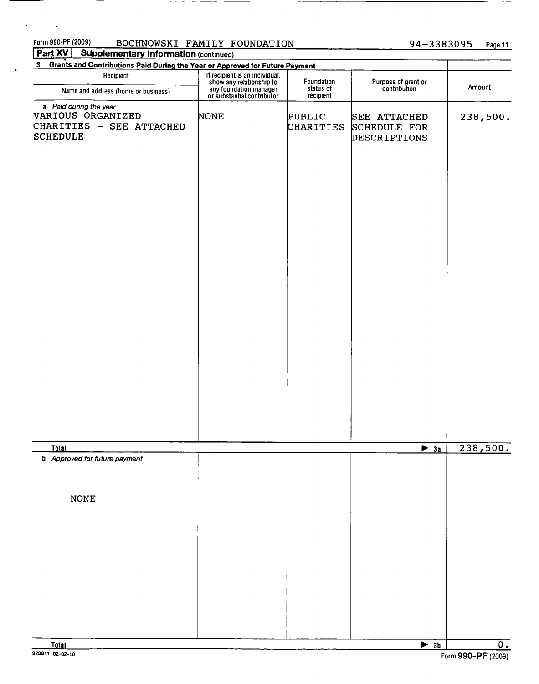# Form 990-PF (2009) BOCHNOWSKI FAMILY FOUNDATION 94-3383095 Page 11

Information

 $\overline{\phantom{a}}$ 

 $\ddot{\phantom{a}}$ 

 $\sim 10^{11}$  km  $^{-1}$ 

| <u> 2000 - 2000 - 2000 - 2000 - 2000 - 2000 - 2000 - 2000 - 2000 - 2000 - 2000 - 2000 - 2000 - 2000 - 2000 - 200</u><br>3 Grants and Contributions Paid During the Year or Approved for Future Payment |                                                                                                                    |                        |                                              |                 |
|--------------------------------------------------------------------------------------------------------------------------------------------------------------------------------------------------------|--------------------------------------------------------------------------------------------------------------------|------------------------|----------------------------------------------|-----------------|
| Recipient                                                                                                                                                                                              | If recipient is an individual,<br>show any relationship to<br>any foundation manager<br>or substantial contributor | Foundation             | Purpose of grant or<br>contribution          | Amount          |
| Name and address (home or business)                                                                                                                                                                    |                                                                                                                    | status of<br>recipient |                                              |                 |
| a Paid during the year<br>VARIOUS ORGANIZED<br>CHARITIES - SEE ATTACHED<br><b>SCHEDULE</b>                                                                                                             | NONE                                                                                                               | PUBLIC<br>CHARITIES    | SEE ATTACHED<br>SCHEDULE FOR<br>DESCRIPTIONS | 238,500.        |
|                                                                                                                                                                                                        |                                                                                                                    |                        |                                              |                 |
|                                                                                                                                                                                                        |                                                                                                                    |                        |                                              |                 |
|                                                                                                                                                                                                        |                                                                                                                    |                        |                                              |                 |
| <u>Total</u><br><b>b</b> Approved for future payment                                                                                                                                                   |                                                                                                                    |                        | $\rightarrow$ 3a                             | <u>238,500.</u> |
| <b>NONE</b>                                                                                                                                                                                            |                                                                                                                    |                        |                                              |                 |
| Total                                                                                                                                                                                                  |                                                                                                                    |                        | $\triangleright$ 3b                          | $\overline{0.}$ |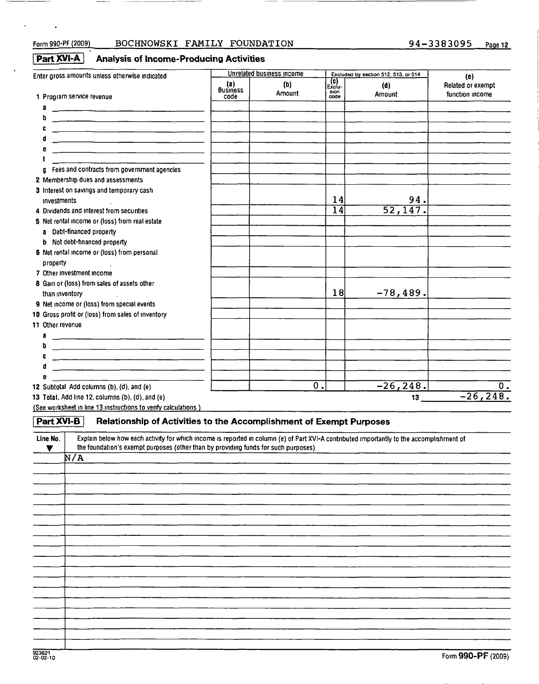$\ddot{\phantom{a}}$ 

# Form 990-PF (2009) BOCHNOWSKI FAMILY FOUNDATION 94-3383095 Page 12

# $\sqrt{\frac{Part XVI-A}{ATE}}$  Analysis of Income-Producing Activities

| Enter gross amounts unless otherwise indicated                                                                                                                                                                                       |                                | Unrelated business income |                                  | Excluded by section 512, 513, or 514 | (e)                                  |
|--------------------------------------------------------------------------------------------------------------------------------------------------------------------------------------------------------------------------------------|--------------------------------|---------------------------|----------------------------------|--------------------------------------|--------------------------------------|
| 1 Program service revenue                                                                                                                                                                                                            | (a)<br><b>Business</b><br>code | (b)<br>Amount             | Exclu-<br>Exclu-<br>sion<br>code | (d)<br>Amount                        | Related or exempt<br>function income |
|                                                                                                                                                                                                                                      |                                |                           |                                  |                                      |                                      |
|                                                                                                                                                                                                                                      |                                |                           |                                  |                                      |                                      |
| h                                                                                                                                                                                                                                    |                                |                           |                                  |                                      |                                      |
| с                                                                                                                                                                                                                                    |                                |                           |                                  |                                      |                                      |
|                                                                                                                                                                                                                                      |                                |                           |                                  |                                      |                                      |
|                                                                                                                                                                                                                                      |                                |                           |                                  |                                      |                                      |
| Fees and contracts from government agencies                                                                                                                                                                                          |                                |                           |                                  |                                      |                                      |
| U.                                                                                                                                                                                                                                   |                                |                           |                                  |                                      |                                      |
| 2 Membership dues and assessments                                                                                                                                                                                                    |                                |                           |                                  |                                      |                                      |
| 3 Interest on savings and temporary cash<br><b>Investments</b>                                                                                                                                                                       |                                |                           | 14                               | 94.                                  |                                      |
| 4 Dividends and interest from securities                                                                                                                                                                                             |                                |                           | $\overline{14}$                  | 52, 147.                             |                                      |
|                                                                                                                                                                                                                                      |                                |                           |                                  |                                      |                                      |
| 5 Net rental income or (loss) from real estate                                                                                                                                                                                       |                                |                           |                                  |                                      |                                      |
| a Debt-financed property                                                                                                                                                                                                             |                                |                           |                                  |                                      |                                      |
| <b>b</b> Not debt-financed property                                                                                                                                                                                                  |                                |                           |                                  |                                      |                                      |
| 6 Net rental income or (loss) from personal                                                                                                                                                                                          |                                |                           |                                  |                                      |                                      |
| property                                                                                                                                                                                                                             |                                |                           |                                  |                                      |                                      |
| 7 Other Investment Income                                                                                                                                                                                                            |                                |                           |                                  |                                      |                                      |
| 8 Gain or (loss) from sales of assets other                                                                                                                                                                                          |                                |                           |                                  |                                      |                                      |
| than inventory                                                                                                                                                                                                                       |                                |                           | 18                               | $-78, 489.$                          |                                      |
| 9 Net income or (loss) from special events                                                                                                                                                                                           |                                |                           |                                  |                                      |                                      |
| 10 Gross profit or (loss) from sales of inventory                                                                                                                                                                                    |                                |                           |                                  |                                      |                                      |
| 11 Other revenue                                                                                                                                                                                                                     |                                |                           |                                  |                                      |                                      |
| a                                                                                                                                                                                                                                    |                                |                           |                                  |                                      |                                      |
|                                                                                                                                                                                                                                      |                                |                           |                                  |                                      |                                      |
| <u> 1989 - Andrea Stadt British, mars and de la construction of the state of the state of the state of the state of the state of the state of the state of the state of the state of the state of the state of the state of the </u> |                                |                           |                                  |                                      |                                      |
|                                                                                                                                                                                                                                      |                                |                           |                                  |                                      |                                      |
|                                                                                                                                                                                                                                      |                                |                           |                                  |                                      |                                      |
| 12 Subtotal Add columns (b), (d), and (e)                                                                                                                                                                                            |                                |                           | 0.                               | $-26, 248.$                          | 0.                                   |
| 13 Total. Add line 12, columns (b), (d), and (e)                                                                                                                                                                                     |                                |                           |                                  | 13                                   | $-26, 248.$                          |

(See worksheet in line 13 instructions to verify calculations )

| Part XVI-B Relationship of Activities to the Accomplishment of Exempt Purposes |  |
|--------------------------------------------------------------------------------|--|
|                                                                                |  |

| Line No. | Explain below how each activity for which income is reported in column (e) of Part XVI-A contributed importantly to the accomplishment of<br>the foundation's exempt purposes (other than by providing funds for such purposes) |
|----------|---------------------------------------------------------------------------------------------------------------------------------------------------------------------------------------------------------------------------------|
|          | N/A                                                                                                                                                                                                                             |
|          |                                                                                                                                                                                                                                 |
|          |                                                                                                                                                                                                                                 |
|          |                                                                                                                                                                                                                                 |
|          |                                                                                                                                                                                                                                 |
|          |                                                                                                                                                                                                                                 |
|          |                                                                                                                                                                                                                                 |
|          |                                                                                                                                                                                                                                 |
|          |                                                                                                                                                                                                                                 |
|          |                                                                                                                                                                                                                                 |
|          |                                                                                                                                                                                                                                 |
|          |                                                                                                                                                                                                                                 |
|          |                                                                                                                                                                                                                                 |
|          |                                                                                                                                                                                                                                 |
|          |                                                                                                                                                                                                                                 |
|          |                                                                                                                                                                                                                                 |
|          |                                                                                                                                                                                                                                 |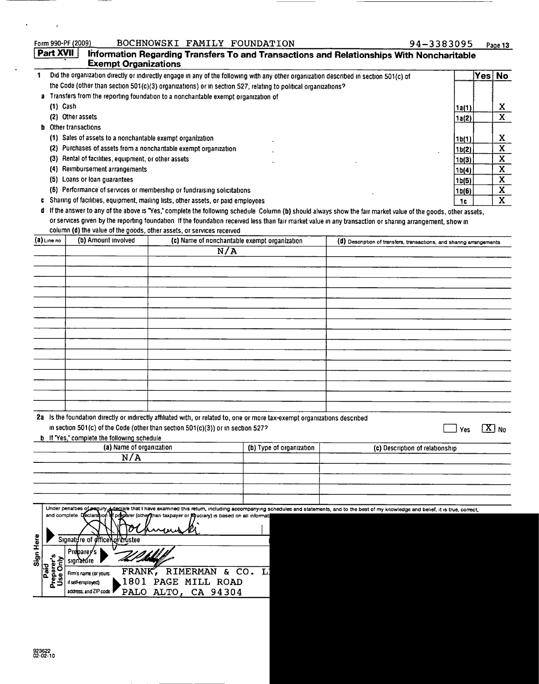|              |                        | Form 990-PF (2009)                                         | BOCHNOWSKI FAMILY FOUNDATION                                                                                                          |                          | 94-3383095                                                                                                                                                                            |                    |        | Page 13               |
|--------------|------------------------|------------------------------------------------------------|---------------------------------------------------------------------------------------------------------------------------------------|--------------------------|---------------------------------------------------------------------------------------------------------------------------------------------------------------------------------------|--------------------|--------|-----------------------|
|              | Part XVII              | <b>Exempt Organizations</b>                                |                                                                                                                                       |                          | Information Regarding Transfers To and Transactions and Relationships With Noncharitable                                                                                              |                    |        |                       |
| $\mathbf{1}$ |                        |                                                            | Did the organization directly or indirectly engage in any of the following with any other organization described in section 501(c) of |                          |                                                                                                                                                                                       |                    | Yes No |                       |
|              |                        |                                                            | the Code (other than section 501(c)(3) organizations) or in section 527, relating to political organizations?                         |                          |                                                                                                                                                                                       |                    |        |                       |
|              |                        |                                                            | a Transfers from the reporting foundation to a noncharitable exempt organization of                                                   |                          |                                                                                                                                                                                       |                    |        |                       |
|              | $(1)$ Cash             | (2) Other assets                                           |                                                                                                                                       |                          |                                                                                                                                                                                       | 1a(1)              |        | X.<br>$\mathbf{x}$    |
|              |                        | <b>b</b> Other transactions                                |                                                                                                                                       |                          |                                                                                                                                                                                       | 1a(2)              |        |                       |
|              |                        | (1) Sales of assets to a noncharitable exempt organization |                                                                                                                                       |                          |                                                                                                                                                                                       | 1b(1)              |        | X                     |
|              |                        |                                                            | (2) Purchases of assets from a noncharitable exempt organization                                                                      |                          |                                                                                                                                                                                       | 1b(2)              |        | $\mathbf{x}$          |
|              |                        | (3) Rental of facilities, equipment, or other assets       |                                                                                                                                       |                          |                                                                                                                                                                                       | 1b(3)              |        | X                     |
|              |                        | (4) Reimbursement arrangements                             |                                                                                                                                       |                          |                                                                                                                                                                                       | 1b(4)              |        | X.                    |
|              |                        | (5) Loans or loan guarantees                               |                                                                                                                                       |                          |                                                                                                                                                                                       | 1 <sub>b</sub> (5) |        | X.                    |
|              |                        |                                                            | (6) Performance of services or membership or fundraising solicitations                                                                |                          |                                                                                                                                                                                       | 1 <sub>b</sub> (6) |        | $\mathbf{X}$          |
|              |                        |                                                            | c Sharing of facilities, equipment, mailing lists, other assets, or paid employees                                                    |                          |                                                                                                                                                                                       | 1c                 |        | $\overline{X}$        |
|              |                        |                                                            |                                                                                                                                       |                          | d If the answer to any of the above is "Yes," complete the following schedule Column (b) should always show the fair market value of the goods, other assets,                         |                    |        |                       |
|              |                        |                                                            |                                                                                                                                       |                          | or services given by the reporting foundation If the foundation received less than fair market value in any transaction or sharing arrangement, show in                               |                    |        |                       |
|              | $(a)$ Line no          | (b) Amount involved                                        | column (d) the value of the goods, other assets, or services received<br>(c) Name of noncharitable exempt organization                |                          |                                                                                                                                                                                       |                    |        |                       |
|              |                        |                                                            | N/A                                                                                                                                   |                          | (d) Description of transfers, transactions, and shanng arrangements                                                                                                                   |                    |        |                       |
|              |                        |                                                            |                                                                                                                                       |                          |                                                                                                                                                                                       |                    |        |                       |
|              |                        |                                                            |                                                                                                                                       |                          |                                                                                                                                                                                       |                    |        |                       |
|              |                        |                                                            |                                                                                                                                       |                          |                                                                                                                                                                                       |                    |        |                       |
|              |                        |                                                            |                                                                                                                                       |                          |                                                                                                                                                                                       |                    |        |                       |
|              |                        |                                                            |                                                                                                                                       |                          |                                                                                                                                                                                       |                    |        |                       |
|              |                        |                                                            |                                                                                                                                       |                          |                                                                                                                                                                                       |                    |        |                       |
|              |                        |                                                            |                                                                                                                                       |                          |                                                                                                                                                                                       |                    |        |                       |
|              |                        |                                                            |                                                                                                                                       |                          |                                                                                                                                                                                       |                    |        |                       |
|              |                        |                                                            |                                                                                                                                       |                          |                                                                                                                                                                                       |                    |        |                       |
|              |                        |                                                            |                                                                                                                                       |                          |                                                                                                                                                                                       |                    |        |                       |
|              |                        |                                                            |                                                                                                                                       |                          |                                                                                                                                                                                       |                    |        |                       |
|              |                        |                                                            |                                                                                                                                       |                          |                                                                                                                                                                                       |                    |        |                       |
|              |                        |                                                            |                                                                                                                                       |                          |                                                                                                                                                                                       |                    |        |                       |
|              |                        |                                                            |                                                                                                                                       |                          |                                                                                                                                                                                       |                    |        |                       |
|              |                        |                                                            | 2a Is the foundation directly or indirectly affiliated with, or related to, one or more tax-exempt organizations described            |                          |                                                                                                                                                                                       |                    |        |                       |
|              |                        |                                                            | in section 501(c) of the Code (other than section 501(c)(3)) or in section 527?                                                       |                          |                                                                                                                                                                                       | Yes                |        | $\boxed{\text{X}}$ No |
|              |                        | <b>b</b> If 'Yes,' complete the following schedule         |                                                                                                                                       |                          |                                                                                                                                                                                       |                    |        |                       |
|              |                        | (a) Name of organization<br>N/A                            |                                                                                                                                       | (b) Type of organization | (c) Description of relationship                                                                                                                                                       |                    |        |                       |
|              |                        |                                                            |                                                                                                                                       |                          |                                                                                                                                                                                       |                    |        |                       |
|              |                        |                                                            |                                                                                                                                       |                          |                                                                                                                                                                                       |                    |        |                       |
|              |                        |                                                            |                                                                                                                                       |                          |                                                                                                                                                                                       |                    |        |                       |
|              |                        |                                                            |                                                                                                                                       |                          |                                                                                                                                                                                       |                    |        |                       |
|              |                        |                                                            |                                                                                                                                       |                          | Under penalties of pagury declare that I have examined this return, including accompanying schedules and statements, and to the best of my knowledge and belief, it is true, correct, |                    |        |                       |
|              |                        |                                                            | and complete Declaration of treplarer (other than taxpayer or Reuclary) is based on all informat                                      |                          |                                                                                                                                                                                       |                    |        |                       |
|              |                        | D                                                          |                                                                                                                                       |                          |                                                                                                                                                                                       |                    |        |                       |
|              |                        | Signature of office of trustee                             |                                                                                                                                       |                          |                                                                                                                                                                                       |                    |        |                       |
| Sign Here    |                        | Preparer⁄s<br>signature                                    |                                                                                                                                       |                          |                                                                                                                                                                                       |                    |        |                       |
|              | Paid                   |                                                            | FRANK, RIMERMAN & CO. LI                                                                                                              |                          |                                                                                                                                                                                       |                    |        |                       |
|              | Preparer's<br>Use Only | Firm's name (or yours<br>1801<br>il self-employed).        | PAGE MILL ROAD                                                                                                                        |                          |                                                                                                                                                                                       |                    |        |                       |
|              |                        | address, and ZIP code                                      | PALO ALTO, CA 94304                                                                                                                   |                          |                                                                                                                                                                                       |                    |        |                       |
|              |                        |                                                            |                                                                                                                                       |                          |                                                                                                                                                                                       |                    |        |                       |
|              |                        |                                                            |                                                                                                                                       |                          |                                                                                                                                                                                       |                    |        |                       |
|              |                        |                                                            |                                                                                                                                       |                          |                                                                                                                                                                                       |                    |        |                       |

 $\overline{\phantom{a}}$ 

 $\ddot{\phantom{a}}$ 

 $\cdot$ 

 $\bar{z}$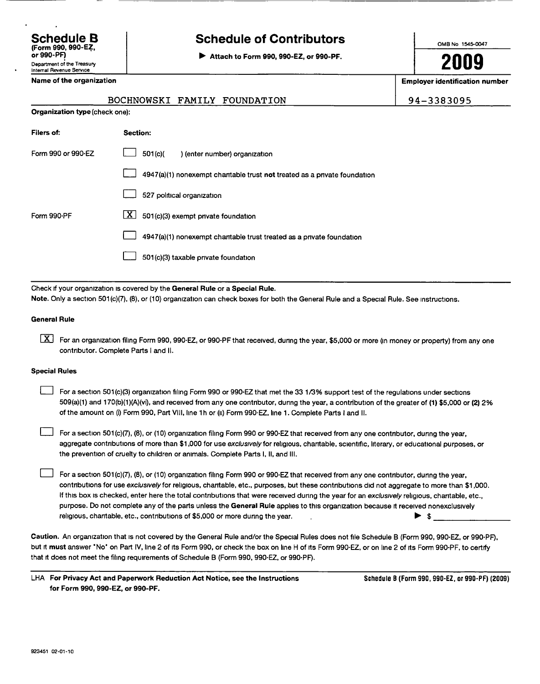### Schedule B (Form 990, 990-EZ, or 990-PF) Department of the Treasury Internal Revenue Service

# Schedule of Contributors

► Attach to Form 990, 990-EZ, or 990-PF.

OMB No 1545-0047

2009

Employer identification number

94-3383095

|  |  | Name of the organization |
|--|--|--------------------------|
|--|--|--------------------------|

## BOCHNOWSKI FAMILY FOUNDATION

| <b>Organization type (</b> check one): |                                                                           |  |  |  |
|----------------------------------------|---------------------------------------------------------------------------|--|--|--|
| Filers of:                             | <b>Section:</b>                                                           |  |  |  |
| Form 990 or 990-EZ                     | 501(c)<br>) (enter number) organization                                   |  |  |  |
|                                        | 4947(a)(1) nonexempt charitable trust not treated as a private foundation |  |  |  |
|                                        | 527 political organization                                                |  |  |  |
| Form 990-PF                            | $\mathbf{X}$<br>501(c)(3) exempt private foundation                       |  |  |  |
|                                        | 4947(a)(1) nonexempt chantable trust treated as a private foundation      |  |  |  |
|                                        |                                                                           |  |  |  |

0 501(c)(3) taxable private foundation

Check if your organization is covered by the General Rule or a Special Rule.

Note. Only a section 501(c)(7), (8), or (10) organization can check boxes for both the General Rule and a Special Rule. See instructions.

### General Rule

 $[X]$  For an organization filing Form 990, 990-EZ, or 990-PF that received, during the year, \$5,000 or more (in money or property) from any one contributor . Complete Parts <sup>I</sup> and II.

### Special Rules

For a section 501(c)(3) organization filing Form 990 or 990-EZ that met the 33 1/3% support test of the regulations under sections 509(a)(1) and 170(b)(1)(A)(vi), and received from any one contributor, during the year, a contribution of the greater of (1) \$5,000 or (2) 2% of the amount on (i) Form 990, Part VIII, line 1h or (ii) Form 990-EZ, line 1. Complete Parts I and II.

For a section 501(c)(7), (8), or (10) organization filing Form 990 or 990-EZ that received from any one contributor, during the year, aggregate contributions of more than \$1,000 for use exclusively for religious, charitable, scientific, literary, or educational purposes, or the prevention of cruelty to children or animals . Complete Parts I, II, and III.

 $\Box$  For a section 501(c)(7), (8), or (10) organization filing Form 990 or 990-EZ that received from any one contributor, during the year, contributions for use exclusively for religious, charitable, etc., purposes, but these contributions did not aggregate to more than \$1,000. If this box is checked, enter here the total contributions that were received during the year for an exclusively religious, charitable, etc., purpose. Do not complete any of the parts unless the General Rule applies to this organization because it received nonexclusively religious, charitable, etc., contributions of \$5,000 or more during the year.  $\blacktriangleright$  \$

Caution . An organization that is not covered by the General Rule and/or the Special Rules does not file Schedule B (Form 990, 990-EZ, or 990-PF), but it must answer 'No' on Part IV, line 2 of its Form 990, or check the box on line H of its Form 990-EZ, or on line 2 of its Form 990-PF, to certify that it does not meet the filing requirements of Schedule B (Form 990, 990-EZ, or 990-PF).

LHA For Privacy Act and Paperwork Reduction Act Notice, see the Instructions for Form 990, 990-EZ, or 990-PF.

Schedule B (Form 990, 990-EZ, or 990-PF) (2009)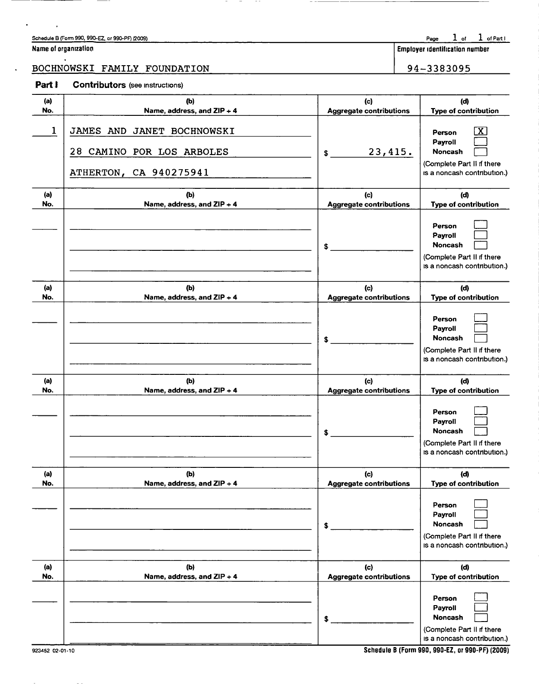### Schedule B (Form 990, 990-EZ, or 990-PF) (2009)

| Name of organization |  |  |  |
|----------------------|--|--|--|
|----------------------|--|--|--|

 $\overline{\phantom{a}}$ 

# BOCHNOWSKI FAMILY FOUNDATION 94-3383095

# Page  $1$  of  $1$  of Part I

Employer identification number

## Part I Contributors (see instructions)

| (a) | (b)                                                                               | (c)                            | (d)                                                                                              |
|-----|-----------------------------------------------------------------------------------|--------------------------------|--------------------------------------------------------------------------------------------------|
| No. | Name, address, and ZIP + 4                                                        | <b>Aggregate contributions</b> | Type of contribution                                                                             |
| 1   | JAMES AND JANET BOCHNOWSKI<br>28 CAMINO POR LOS ARBOLES<br>ATHERTON, CA 940275941 | 23,415.<br>\$                  | Person<br>Payroll<br>Noncash<br>(Complete Part II if there<br>is a noncash contribution.)        |
| (a) | (b)                                                                               | (c)                            | (d)                                                                                              |
| No. | Name, address, and ZIP + 4                                                        | <b>Aggregate contributions</b> | Type of contribution                                                                             |
|     |                                                                                   | \$                             | Person<br>Payroll<br><b>Noncash</b><br>(Complete Part II if there<br>is a noncash contribution.) |
| (a) | (b)                                                                               | (c)                            | (d)                                                                                              |
| No. | Name, address, and ZIP + 4                                                        | <b>Aggregate contributions</b> | Type of contribution                                                                             |
|     |                                                                                   | \$                             | Person<br>Payroll<br><b>Noncash</b><br>(Complete Part II if there<br>is a noncash contribution.) |
| (a) | (b)                                                                               | (c)                            | (d)                                                                                              |
| No. | Name, address, and ZIP + 4                                                        | <b>Aggregate contributions</b> | Type of contribution                                                                             |
|     |                                                                                   | \$                             | Person<br>Payroll<br><b>Noncash</b><br>(Complete Part II if there<br>is a noncash contribution.) |
| (a) | (b)                                                                               | (c)                            | (d)                                                                                              |
| No. | Name, address, and ZIP + 4                                                        | <b>Aggregate contributions</b> | Type of contribution                                                                             |
|     |                                                                                   | $$^{\circ}$                    | Person<br>Payroll<br>Noncash<br>(Complete Part II if there<br>is a noncash contribution.)        |
| (a) | (b)                                                                               | (c)                            | (d)                                                                                              |
| No. | Name, address, and ZIP + 4                                                        | <b>Aggregate contributions</b> | Type of contribution                                                                             |
|     |                                                                                   | \$                             | Person<br>Payroll<br>Noncash<br>(Complete Part II if there<br>is a noncash contribution.)        |

 $-$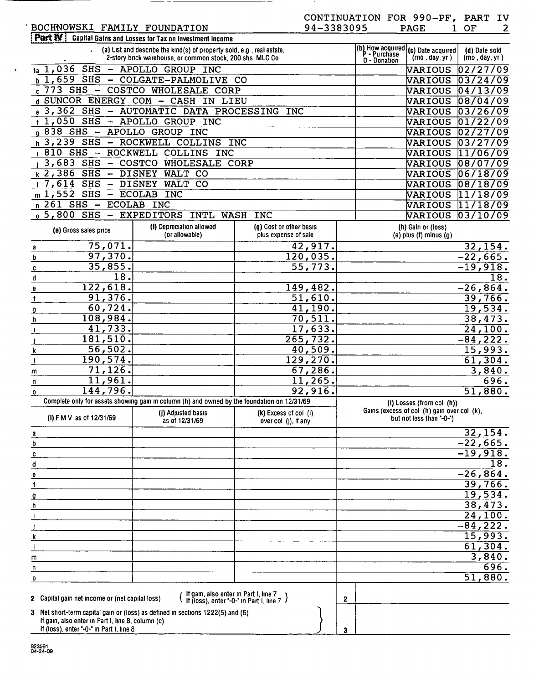# BOCHNOWSKI FAMILY FOUNDATION<br>Part IV Capital Gains and Losses for Tax on Investment Income

 $\Delta$ 

|                                                                                               | (a) List and describe the kind(s) of property sold, e.g., real estate,<br>2-story brick warehouse, or common stock, 200 shs MLC Co. |                                                     | P - Purchase | (b) How acquired (c) Date acquired<br>(mo, day, yr)                     | (d) Date sold<br>(mo, day, yr) |
|-----------------------------------------------------------------------------------------------|-------------------------------------------------------------------------------------------------------------------------------------|-----------------------------------------------------|--------------|-------------------------------------------------------------------------|--------------------------------|
| 1,036 SHS - APOLLO GROUP INC                                                                  |                                                                                                                                     |                                                     | D - Donation |                                                                         | 02/27/09                       |
| 1а                                                                                            | $b$ 1,659 SHS - COLGATE-PALMOLIVE CO                                                                                                |                                                     |              | VARIOUS<br>VARIOUS                                                      | 03/24 <br>109                  |
|                                                                                               | $c$ 773 SHS - COSTCO WHOLESALE CORP                                                                                                 |                                                     |              | VARIOUS                                                                 | 04/13/09                       |
|                                                                                               | d SUNCOR ENERGY COM - CASH IN LIEU                                                                                                  |                                                     |              | VARIOUS                                                                 | 08/04/09                       |
|                                                                                               | $_{e}$ 3, 362 SHS - AUTOMATIC DATA PROCESSING                                                                                       | <b>INC</b>                                          |              | VARIOUS                                                                 | 03/26/09                       |
| $f$ 1,050 SHS - APOLLO GROUP INC                                                              |                                                                                                                                     |                                                     |              | VARIOUS                                                                 | 01/22<br>09'                   |
| g 838 SHS - APOLLO GROUP INC                                                                  |                                                                                                                                     |                                                     |              | VARIOUS                                                                 | 02/27<br>'09                   |
| h 3,239 SHS - ROCKWELL COLLINS                                                                |                                                                                                                                     | <b>INC</b>                                          |              | VARIOUS                                                                 | 03/27<br>09                    |
| $1810$ SHS - ROCKWELL COLLINS                                                                 | INC                                                                                                                                 |                                                     |              | VARIOUS                                                                 | 11/06/09                       |
| $3,683$ SHS - COSTCO                                                                          | WHOLESALE CORP                                                                                                                      |                                                     |              | VARIOUS                                                                 | 08/07<br>09                    |
| $k$ 2,386 SHS - DISNEY                                                                        | WALT CO                                                                                                                             |                                                     |              | VARIOUS                                                                 | 09<br>06/18                    |
| $17,614$ SHS $-$ DISNEY                                                                       | WALT CO                                                                                                                             |                                                     |              | VARIOUS                                                                 | '09<br>08/18                   |
| $m 1,552$ SHS - ECOLAB                                                                        | <b>INC</b>                                                                                                                          |                                                     |              | VARIOUS                                                                 | 09'<br> 11/18                  |
| $n$ 261 SHS - ECOLAB INC                                                                      |                                                                                                                                     |                                                     |              | VARIOUS                                                                 | 11/18/09                       |
| $_0$ 5,800 SHS                                                                                | - EXPEDITORS INTL WASH INC                                                                                                          |                                                     |              | VARIOUS                                                                 | 03/10/09                       |
| (e) Gross sales price                                                                         | (f) Depreciation allowed<br>(or allowable)                                                                                          | (g) Cost or other basis<br>plus expense of sale     |              | (h) Gain or (loss)<br>$(e)$ plus $(f)$ minus $(g)$                      |                                |
| 75,071.<br>a                                                                                  |                                                                                                                                     | 42,917.                                             |              |                                                                         | 32, 154.                       |
| 97,370.<br>b                                                                                  |                                                                                                                                     | 120,035.                                            |              |                                                                         | $-22,665.$                     |
| 35,855.<br>c                                                                                  |                                                                                                                                     | 55,773.                                             |              |                                                                         | $-19,918.$                     |
| $\overline{18}$ .<br>d                                                                        |                                                                                                                                     |                                                     |              |                                                                         | 18.                            |
| 122,618.<br>е                                                                                 |                                                                                                                                     | 149, 482.                                           |              |                                                                         | $-26,864.$                     |
| 91,376.<br>1.                                                                                 |                                                                                                                                     | 51,610.                                             |              |                                                                         | 39,766.                        |
| 60, 724.<br>g                                                                                 |                                                                                                                                     | 41,190.                                             |              |                                                                         | 19,534.                        |
| 108,984.<br>h.<br>$\overline{41,733}$ .                                                       |                                                                                                                                     | 70, 511.                                            |              |                                                                         | 38,473.                        |
| 181,510.                                                                                      |                                                                                                                                     | 17,633.<br>265, 732.                                |              |                                                                         | $\overline{24,100}$ .          |
| 56,502.                                                                                       |                                                                                                                                     | 40,509.                                             |              |                                                                         | $-84, 222.$                    |
| ĸ<br>190, 574.                                                                                |                                                                                                                                     | 129, 270.                                           |              |                                                                         | <u>15,993.</u><br>61,304.      |
| 71, 126.<br>m                                                                                 |                                                                                                                                     | 67,286.                                             |              |                                                                         | 3,840.                         |
| 11,961.<br>$\mathbf n$                                                                        |                                                                                                                                     | $\overline{11,265}$ .                               |              |                                                                         | 696.                           |
| 144,796.<br>0                                                                                 |                                                                                                                                     | 92,916.                                             |              |                                                                         | 51,880.                        |
|                                                                                               | Complete only for assets showing gain in column (h) and owned by the foundation on 12/31/69                                         |                                                     |              | (I) Losses (from col (h))                                               |                                |
| (i) F M V as of 12/31/69                                                                      | (j) Adjusted basis<br>as of 12/31/69                                                                                                | $(k)$ Excess of col $(l)$<br>over $col$ (j), if any |              | Gains (excess of col (h) gain over col (k),<br>but not less than "-0-") |                                |
| $\overline{\mathbf{a}}$                                                                       |                                                                                                                                     |                                                     |              |                                                                         | 32,154.                        |
| b                                                                                             |                                                                                                                                     |                                                     |              |                                                                         | $-22,665.$                     |
| c                                                                                             |                                                                                                                                     |                                                     |              |                                                                         | $-19,918.$                     |
| đ                                                                                             |                                                                                                                                     |                                                     |              |                                                                         | 18.                            |
| е                                                                                             |                                                                                                                                     |                                                     |              |                                                                         | $-26,864.$                     |
|                                                                                               |                                                                                                                                     |                                                     |              |                                                                         | $\frac{39,766}{19,534}$        |
|                                                                                               |                                                                                                                                     |                                                     |              |                                                                         |                                |
|                                                                                               |                                                                                                                                     |                                                     |              |                                                                         | 38,473.                        |
|                                                                                               |                                                                                                                                     |                                                     |              |                                                                         | 24,100.                        |
|                                                                                               |                                                                                                                                     |                                                     |              |                                                                         | $-84, 222.$<br>15,993.         |
|                                                                                               |                                                                                                                                     |                                                     |              |                                                                         | 61,304.                        |
| m                                                                                             |                                                                                                                                     |                                                     |              |                                                                         | 3,840.                         |
| п                                                                                             |                                                                                                                                     |                                                     |              |                                                                         | 696.                           |
| 0                                                                                             |                                                                                                                                     |                                                     |              |                                                                         | 51,880.                        |
|                                                                                               |                                                                                                                                     |                                                     |              |                                                                         |                                |
| 2 Capital gain net income or (net capital loss)                                               | { If gain, also enter in Part I, line 7<br>If (loss), enter "-0-" in Part I, line 7                                                 |                                                     | $\mathbf{2}$ |                                                                         |                                |
|                                                                                               | 3 Net short-term capital gain or (loss) as defined in sections 1222(5) and (6)                                                      |                                                     |              |                                                                         |                                |
| If gain, also enter in Part I, line 8, column (c)<br>If (loss), enter "-0-" in Part I, line 8 |                                                                                                                                     |                                                     | 3            |                                                                         |                                |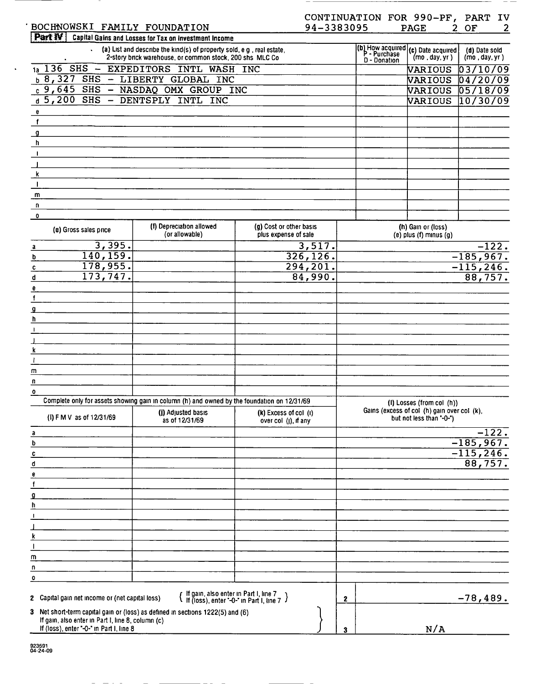|                                                                                                                                     |                                                                                                                                   |                                                   | CONTINUATION FOR 990-PF, PART IV |                                                                         |                                |
|-------------------------------------------------------------------------------------------------------------------------------------|-----------------------------------------------------------------------------------------------------------------------------------|---------------------------------------------------|----------------------------------|-------------------------------------------------------------------------|--------------------------------|
| BOCHNOWSKI FAMILY FOUNDATION                                                                                                        |                                                                                                                                   | 94-3383095                                        |                                  | <b>PAGE</b>                                                             | 2<br>2 OF                      |
| Part IV                                                                                                                             | Capital Gains and Losses for Tax on Investment Income                                                                             |                                                   |                                  |                                                                         |                                |
|                                                                                                                                     | (a) List and describe the kind(s) of property sold, e g, real estate,<br>2-story brick warehouse, or common stock, 200 shs MLC Co |                                                   | D - Donation                     | (b) How acquired $(c)$ Date acquired<br>(mo, day, yr)                   | (d) Date sold<br>(mo, day, yr) |
|                                                                                                                                     | 1a 136 SHS - EXPEDITORS INTL WASH INC                                                                                             |                                                   |                                  | VARIOUS                                                                 | 03/10/09                       |
|                                                                                                                                     | b 8,327 SHS - LIBERTY GLOBAL INC                                                                                                  |                                                   |                                  | VARIOUS                                                                 | 04720/09                       |
|                                                                                                                                     | c 9,645 SHS - NASDAQ OMX GROUP INC                                                                                                |                                                   |                                  | VARIOUS                                                                 | $\sqrt{05/18/09}$              |
| d 5,200 SHS - DENTSPLY INTL INC                                                                                                     |                                                                                                                                   |                                                   |                                  | VARIOUS                                                                 | 10/30/09                       |
| e<br>$\mathbf{f}$                                                                                                                   |                                                                                                                                   |                                                   |                                  |                                                                         |                                |
| $\overline{\mathbf{g}}$                                                                                                             |                                                                                                                                   |                                                   |                                  |                                                                         |                                |
| h                                                                                                                                   |                                                                                                                                   |                                                   |                                  |                                                                         |                                |
| $\mathbf{I}$                                                                                                                        |                                                                                                                                   |                                                   |                                  |                                                                         |                                |
|                                                                                                                                     |                                                                                                                                   |                                                   |                                  |                                                                         |                                |
| k                                                                                                                                   |                                                                                                                                   |                                                   |                                  |                                                                         |                                |
| $\mathbf{I}$                                                                                                                        |                                                                                                                                   |                                                   |                                  |                                                                         |                                |
| m                                                                                                                                   |                                                                                                                                   |                                                   |                                  |                                                                         |                                |
| n                                                                                                                                   |                                                                                                                                   |                                                   |                                  |                                                                         |                                |
| $\mathbf 0$                                                                                                                         |                                                                                                                                   |                                                   |                                  |                                                                         |                                |
| (e) Gross sales price                                                                                                               | (f) Depreciation allowed<br>(or allowable)                                                                                        | (g) Cost or other basis<br>plus expense of sale   |                                  | (h) Gain or (loss)<br>$(e)$ plus $(f)$ minus $(g)$                      |                                |
| 3,395.<br>a                                                                                                                         |                                                                                                                                   | 3,517.                                            |                                  |                                                                         | $-122.$                        |
| 140, 159.<br>b<br>178,955.                                                                                                          |                                                                                                                                   | 326, 126.                                         |                                  |                                                                         | $-185,967.$                    |
| c<br>173, 747.<br>d                                                                                                                 |                                                                                                                                   | 294,201.<br>84,990.                               |                                  |                                                                         | $-115, 246.$<br>88,757.        |
| e                                                                                                                                   |                                                                                                                                   |                                                   |                                  |                                                                         |                                |
| $\mathbf f$                                                                                                                         |                                                                                                                                   |                                                   |                                  |                                                                         |                                |
| g                                                                                                                                   |                                                                                                                                   |                                                   |                                  |                                                                         |                                |
| h                                                                                                                                   |                                                                                                                                   |                                                   |                                  |                                                                         |                                |
| $\mathbf{I}$                                                                                                                        |                                                                                                                                   |                                                   |                                  |                                                                         |                                |
|                                                                                                                                     |                                                                                                                                   |                                                   |                                  |                                                                         |                                |
| k                                                                                                                                   |                                                                                                                                   |                                                   |                                  |                                                                         |                                |
| $\mathbf{I}$                                                                                                                        |                                                                                                                                   |                                                   |                                  |                                                                         |                                |
| m<br>n                                                                                                                              |                                                                                                                                   |                                                   |                                  |                                                                         |                                |
| $\mathbf 0$                                                                                                                         |                                                                                                                                   |                                                   |                                  |                                                                         |                                |
|                                                                                                                                     | Complete only for assets showing gain in column (h) and owned by the foundation on 12/31/69                                       |                                                   |                                  | (I) Losses (from col (h))                                               |                                |
| (I) F M V as of 12/31/69                                                                                                            | (j) Adjusted basis<br>as of 12/31/69                                                                                              | $(k)$ Excess of col $(l)$<br>over col (j), if any |                                  | Gains (excess of col (h) gain over col (k),<br>but not less than "-0-") |                                |
| a                                                                                                                                   |                                                                                                                                   |                                                   |                                  |                                                                         | $-122.$                        |
| b                                                                                                                                   |                                                                                                                                   |                                                   |                                  |                                                                         | $-185,967.$                    |
| C                                                                                                                                   |                                                                                                                                   |                                                   |                                  |                                                                         | $-115, 246.$                   |
| d                                                                                                                                   |                                                                                                                                   |                                                   |                                  |                                                                         | 88,757.                        |
| e<br>f                                                                                                                              |                                                                                                                                   |                                                   |                                  |                                                                         |                                |
| ₫                                                                                                                                   |                                                                                                                                   |                                                   |                                  |                                                                         |                                |
| h                                                                                                                                   |                                                                                                                                   |                                                   |                                  |                                                                         |                                |
| -1                                                                                                                                  |                                                                                                                                   |                                                   |                                  |                                                                         |                                |
|                                                                                                                                     |                                                                                                                                   |                                                   |                                  |                                                                         |                                |
|                                                                                                                                     |                                                                                                                                   |                                                   |                                  |                                                                         |                                |
| $\mathbf{I}$                                                                                                                        |                                                                                                                                   |                                                   |                                  |                                                                         |                                |
| m                                                                                                                                   |                                                                                                                                   |                                                   |                                  |                                                                         |                                |
| n                                                                                                                                   |                                                                                                                                   |                                                   |                                  |                                                                         |                                |
| $\mathbf{o}$                                                                                                                        |                                                                                                                                   |                                                   |                                  |                                                                         |                                |
| 2 Capital gain net income or (net capital loss)                                                                                     | { If gain, also enter in Part I, line 7<br>{ If (loss), enter "-0-" in Part I, line 7 }                                           |                                                   | $\mathbf{2}$                     |                                                                         | $-78,489.$                     |
| 3 Net short-term capital gain or (loss) as defined in sections 1222(5) and (6)<br>If gain, also enter in Part I, line 8, column (c) |                                                                                                                                   |                                                   |                                  |                                                                         |                                |
| If (loss), enter "-0-" in Part I, line 8                                                                                            |                                                                                                                                   |                                                   | 3                                | N/A                                                                     |                                |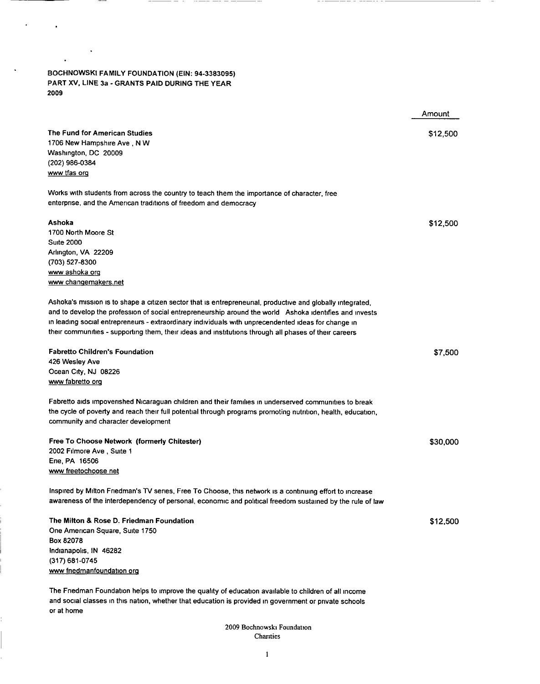BOCHNOWSKI FAMILY FOUNDATION (EIN: 94-3383095) PART XV, LINE 3a - GRANTS PAID DURING THE YEAR 2009

 $\tilde{\textbf{a}}$ 

 $\bullet$ 

 $\sim$   $\sim$ 

 $\ddot{\phantom{1}}$ 

 $\hat{\boldsymbol{\cdot} }$ 

 $-- -$ 

- - -

---

or at home

|                                                                                                              | Amount   |
|--------------------------------------------------------------------------------------------------------------|----------|
| The Fund for American Studies                                                                                | \$12,500 |
| 1706 New Hampshire Ave, N W                                                                                  |          |
| Washington, DC 20009                                                                                         |          |
| (202) 986-0384                                                                                               |          |
| www tfas org                                                                                                 |          |
| Works with students from across the country to teach them the importance of character, free                  |          |
| enterprise, and the American traditions of freedom and democracy                                             |          |
| Ashoka                                                                                                       | \$12,500 |
| 1700 North Moore St                                                                                          |          |
| <b>Suite 2000</b>                                                                                            |          |
| Arlington, VA 22209                                                                                          |          |
| (703) 527-8300                                                                                               |          |
| <u>www ashoka orq</u>                                                                                        |          |
| www.changemakers.net                                                                                         |          |
| Ashoka's mission is to shape a citizen sector that is entrepreneurial, productive and globally integrated,   |          |
| and to develop the profession of social entrepreneurship around the world Ashoka identifies and invests      |          |
| in leading social entrepreneurs - extraordinary individuals with unprecendented ideas for change in          |          |
| their communities - supporting them, their ideas and institutions through all phases of their careers        |          |
| <b>Fabretto Children's Foundation</b>                                                                        | \$7,500  |
| 426 Wesley Ave                                                                                               |          |
| Ocean City, NJ 08226                                                                                         |          |
| www fabretto org                                                                                             |          |
| Fabretto aids impoverished Nicaraguan children and their families in underserved communities to break        |          |
| the cycle of poverty and reach their full potential through programs promoting nutrition, health, education, |          |
| community and character development                                                                          |          |
| Free To Choose Network (formerly Chitester)                                                                  | \$30,000 |
| 2002 Filmore Ave, Suite 1                                                                                    |          |
| Erie, PA 16506                                                                                               |          |
| www freetochoose net                                                                                         |          |
| Inspired by Milton Friedman's TV series, Free To Choose, this network is a continuing effort to increase     |          |
| awareness of the interdependency of personal, economic and political freedom sustained by the rule of law    |          |
| The Milton & Rose D. Friedman Foundation                                                                     | \$12,500 |
| One American Square, Suite 1750                                                                              |          |
| Box 82078                                                                                                    |          |
| Indianapolis, IN 46282                                                                                       |          |
| (317) 681-0745                                                                                               |          |
| www friedmanfoundation org                                                                                   |          |
| The Friedman Foundation helps to improve the quality of education available to children of all income        |          |
| and social classes in this nation, whether that education is provided in government or private schools       |          |

2009 Bochnowski Foundation Charities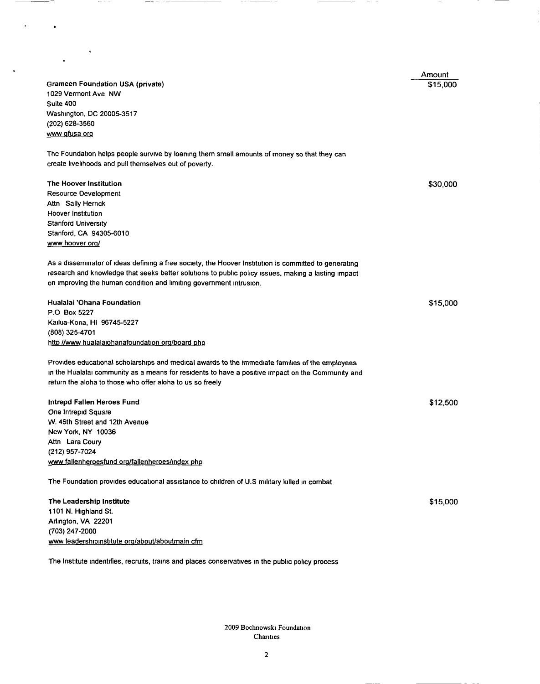| ٠                                                                                                     |          |
|-------------------------------------------------------------------------------------------------------|----------|
|                                                                                                       | Amount   |
| <b>Grameen Foundation USA (private)</b>                                                               | \$15,000 |
| 1029 Vermont Ave NW                                                                                   |          |
| Suite 400<br>Washington, DC 20005-3517                                                                |          |
| (202) 628-3560                                                                                        |          |
| www gfusa org                                                                                         |          |
| The Foundation helps people survive by loaning them small amounts of money so that they can           |          |
| create livelihoods and pull themselves out of poverty.                                                |          |
| The Hoover Institution                                                                                |          |
| <b>Resource Development</b>                                                                           | \$30,000 |
| Attn Sally Herrick                                                                                    |          |
| <b>Hoover Institution</b>                                                                             |          |
| <b>Stanford University</b>                                                                            |          |
| Stanford, CA 94305-6010                                                                               |          |
| www hoover org/                                                                                       |          |
| As a disseminator of ideas defining a free society, the Hoover Institution is committed to generating |          |
| research and knowledge that seeks better solutions to public policy issues, making a lasting impact   |          |
| on improving the human condition and limiting government intrusion.                                   |          |
| Hualalai 'Ohana Foundation                                                                            | \$15,000 |
| P.O Box 5227                                                                                          |          |
| Kailua-Kona, HI 96745-5227                                                                            |          |
| (808) 325-4701                                                                                        |          |
| http //www.hualalaiohanafoundation.org/board.php                                                      |          |
| Provides educational scholarships and medical awards to the immediate families of the employees       |          |
| in the Hualalai community as a means for residents to have a positive impact on the Community and     |          |
| return the aloha to those who offer aloha to us so freely                                             |          |
| Intrepd Fallen Heroes Fund                                                                            | \$12,500 |
| One Intrepid Square                                                                                   |          |
| W. 46th Street and 12th Avenue                                                                        |          |
| New York, NY 10036                                                                                    |          |
| Attn Lara Coury<br>(212) 957-7024                                                                     |          |
| www fallenheroesfund org/fallenheroes/index php                                                       |          |
|                                                                                                       |          |
| The Foundation provides educational assistance to children of U.S military killed in combat           |          |
| The Leadership Institute                                                                              | \$15,000 |
| 1101 N. Highland St.                                                                                  |          |
| Arlington, VA 22201                                                                                   |          |
| (703) 247-2000                                                                                        |          |
| www leadershipinstitute org/about/aboutmain cfm                                                       |          |

-- --

 $\overline{\phantom{a}}$ 

The Institute indentifies, recruits, trains and places conservatives in the public policy process

 $- - -$ 

 $\bullet$ 

 $\ddot{\phantom{0}}$ 

 $\sim$ 

 $-$ 

2009 Bochnowski Foundation Chanties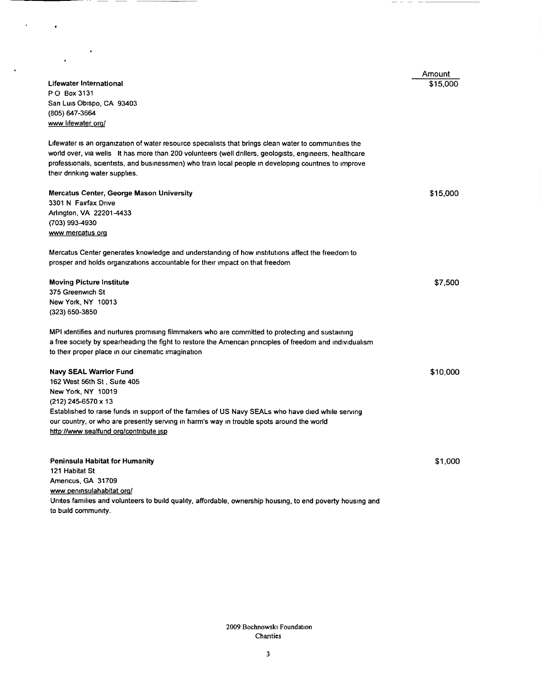|                                                                                                            | Amount   |
|------------------------------------------------------------------------------------------------------------|----------|
| Lifewater International                                                                                    | \$15.000 |
| PO Box 3131                                                                                                |          |
| San Luis Obispo, CA 93403                                                                                  |          |
| (805) 647-3664                                                                                             |          |
| www lifewater org/                                                                                         |          |
| Lifewater is an organization of water resource specialists that brings clean water to communities the      |          |
| world over, via wells it has more than 200 volunteers (well drillers, geologists, engineers, healthcare    |          |
| professionals, scientists, and businessmen) who train local people in developing countries to improve      |          |
| their drinking water supplies.                                                                             |          |
| Mercatus Center, George Mason University                                                                   | \$15,000 |
| 3301 N Fairfax Drive                                                                                       |          |
| Arlington, VA 22201-4433                                                                                   |          |
| (703) 993-4930                                                                                             |          |
| www mercatus org                                                                                           |          |
| Mercatus Center generates knowledge and understanding of how institutions affect the freedom to            |          |
| prosper and holds organizations accountable for their impact on that freedom                               |          |
| <b>Moving Picture Institute</b>                                                                            | \$7,500  |
| 375 Greenwich St                                                                                           |          |
| New York, NY 10013                                                                                         |          |
| (323) 650-3850                                                                                             |          |
| MPI identifies and nurtures promising filmmakers who are committed to protecting and sustaining            |          |
| a free society by spearheading the fight to restore the American principles of freedom and individualism   |          |
| to their proper place in our cinematic imagination                                                         |          |
| <b>Navy SEAL Warrior Fund</b>                                                                              | \$10,000 |
| 162 West 56th St, Suite 405                                                                                |          |
| New York, NY 10019                                                                                         |          |
| (212) 245-6570 x 13                                                                                        |          |
| Established to raise funds in support of the families of US Navy SEALs who have died while serving         |          |
| our country, or who are presently serving in harm's way in trouble spots around the world                  |          |
| http://www.sealfund.org/contribute.jsp                                                                     |          |
|                                                                                                            |          |
| Peninsula Habitat for Humanity                                                                             | \$1,000  |
| 121 Habitat St                                                                                             |          |
| Americus, GA 31709                                                                                         |          |
| www peninsulahabitat org/                                                                                  |          |
| Unites families and volunteers to build quality, affordable, ownership housing, to end poverty housing and |          |

to build community.

 $\langle \cdot \rangle$ 

 $\mathcal{L}^{\text{max}}$ 

2009 Bochnowski Foundation Chanties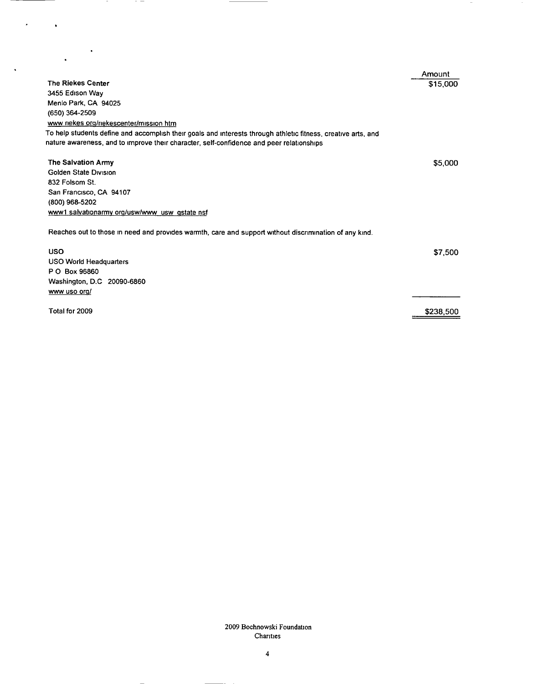|                                                                                                                                                                                                           | Amount    |
|-----------------------------------------------------------------------------------------------------------------------------------------------------------------------------------------------------------|-----------|
| <b>The Riekes Center</b>                                                                                                                                                                                  | \$15,000  |
| 3455 Edison Way                                                                                                                                                                                           |           |
| Menlo Park, CA 94025                                                                                                                                                                                      |           |
| (650) 364-2509                                                                                                                                                                                            |           |
| www rickes org/rickescenter/mission htm                                                                                                                                                                   |           |
| To help students define and accomplish their goals and interests through athletic fitness, creative arts, and<br>nature awareness, and to improve their character, self-confidence and peer relationships |           |
| The Salvation Army                                                                                                                                                                                        | \$5,000   |
| Golden State Division                                                                                                                                                                                     |           |
| 832 Folsom St.                                                                                                                                                                                            |           |
| San Francisco, CA 94107                                                                                                                                                                                   |           |
| (800) 968-5202                                                                                                                                                                                            |           |
| www1 salvationarmy org/usw/www_usw_gstate nsf                                                                                                                                                             |           |
| Reaches out to those in need and provides warmth, care and support without discrimination of any kind.                                                                                                    |           |
| <b>USO</b>                                                                                                                                                                                                | \$7,500   |
| <b>USO World Headquarters</b>                                                                                                                                                                             |           |
| P O Box 96860                                                                                                                                                                                             |           |
| Washington, D.C 20090-6860                                                                                                                                                                                |           |
| www uso org/                                                                                                                                                                                              |           |
| Total for 2009                                                                                                                                                                                            | \$238,500 |

 $\overline{\phantom{a}}$ 

 $\sim$ 

 $\mathcal{F}^{\text{max}}_{\text{max}}$ 

 $-$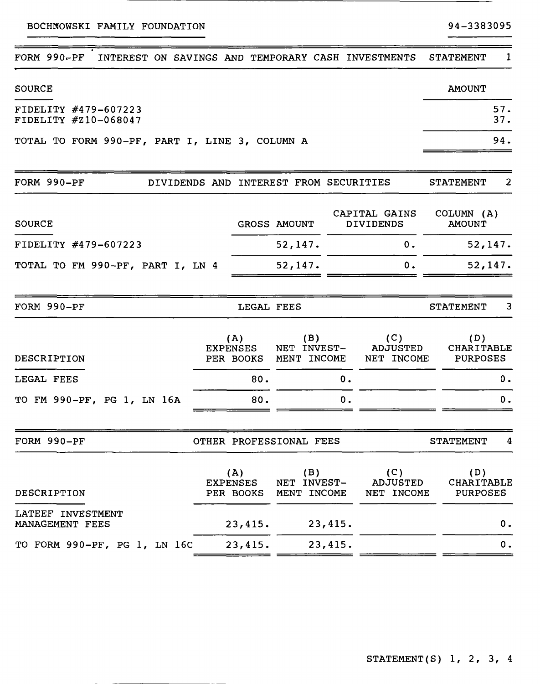BOCHNOWSKI FAMILY FOUNDATION

 $\overline{\phantom{0}}$ 

---

| $FORM 990-PF$<br>INTEREST ON SAVINGS AND TEMPORARY CASH INVESTMENTS |                 |                                     |                                        |         |                                      | <b>STATEMENT</b>                     | $\mathbf{1}$   |
|---------------------------------------------------------------------|-----------------|-------------------------------------|----------------------------------------|---------|--------------------------------------|--------------------------------------|----------------|
| <b>SOURCE</b>                                                       |                 |                                     |                                        |         |                                      | <b>AMOUNT</b>                        |                |
| FIDELITY #479-607223<br>FIDELITY #210-068047                        |                 |                                     |                                        |         |                                      |                                      | 57.<br>37.     |
| TOTAL TO FORM 990-PF, PART I, LINE 3, COLUMN A                      |                 |                                     |                                        |         |                                      |                                      | 94.            |
| FORM 990-PF                                                         |                 |                                     | DIVIDENDS AND INTEREST FROM SECURITIES |         |                                      | <b>STATEMENT</b>                     | $\overline{2}$ |
| <b>SOURCE</b>                                                       |                 |                                     | GROSS AMOUNT                           |         | CAPITAL GAINS<br><b>DIVIDENDS</b>    | COLUMN (A)<br><b>AMOUNT</b>          |                |
| FIDELITY #479-607223                                                |                 |                                     | 52,147.                                |         | 0.                                   | 52,147.                              |                |
| TOTAL TO FM 990-PF, PART I, LN 4                                    |                 |                                     | 52, 147.                               |         | 0.                                   | 52, 147.                             |                |
| FORM 990-PF                                                         |                 | LEGAL FEES                          |                                        |         |                                      | <b>STATEMENT</b>                     | 3              |
| DESCRIPTION                                                         | <b>EXPENSES</b> | (A)<br>PER BOOKS                    | (B)<br>NET INVEST-<br>MENT INCOME      |         | (C)<br>ADJUSTED<br>NET INCOME        | (D)<br>CHARITABLE<br><b>PURPOSES</b> |                |
| LEGAL FEES                                                          |                 | 80.                                 |                                        | 0.      |                                      |                                      | 0.             |
| TO FM 990-PF, PG 1, LN 16A                                          |                 | 80.                                 |                                        | 0.      |                                      |                                      | 0.             |
| FORM 990-PF                                                         |                 |                                     | OTHER PROFESSIONAL FEES                |         |                                      | <b>STATEMENT</b>                     | 4              |
| DESCRIPTION                                                         |                 | (A)<br><b>EXPENSES</b><br>PER BOOKS | (B)<br>NET INVEST-<br>MENT INCOME      |         | (C)<br><b>ADJUSTED</b><br>NET INCOME | (D)<br>CHARITABLE<br><b>PURPOSES</b> |                |
| LATEEF INVESTMENT<br>MANAGEMENT FEES                                |                 | 23,415.                             |                                        | 23,415. |                                      |                                      | 0 <sub>o</sub> |
| TO FORM 990-PF, PG 1, LN 16C                                        |                 | 23,415.                             |                                        | 23,415. |                                      |                                      | 0.             |
|                                                                     |                 |                                     |                                        |         |                                      |                                      |                |